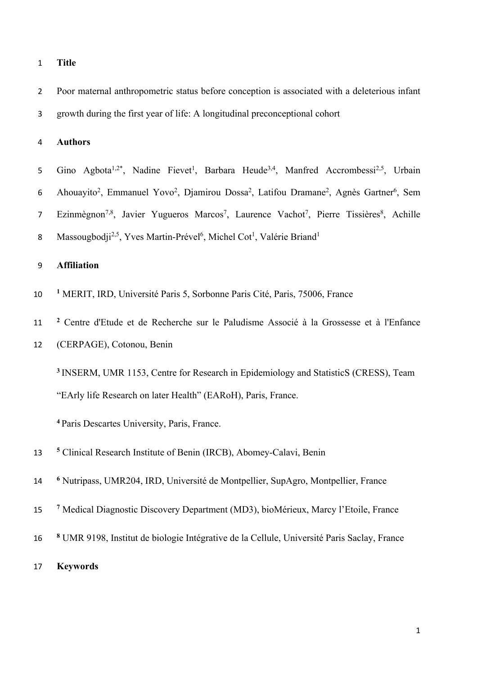## **Title**

 Poor maternal anthropometric status before conception is associated with a deleterious infant growth during the first year of life: A longitudinal preconceptional cohort

# **Authors**

- 5 Gino Agbota<sup>1,2\*</sup>, Nadine Fievet<sup>1</sup>, Barbara Heude<sup>3,4</sup>, Manfred Accrombessi<sup>2,5</sup>, Urbain 6 Ahouayito<sup>2</sup>, Emmanuel Yovo<sup>2</sup>, Djamirou Dossa<sup>2</sup>, Latifou Dramane<sup>2</sup>, Agnès Gartner<sup>6</sup>, Sem 7 Ezinmègnon<sup>7,8</sup>, Javier Yugueros Marcos<sup>7</sup>, Laurence Vachot<sup>7</sup>, Pierre Tissières<sup>8</sup>, Achille
- 8 Massougbodji<sup>2,5</sup>, Yves Martin-Prével<sup>6</sup>, Michel Cot<sup>1</sup>, Valérie Briand<sup>1</sup>

## **Affiliation**

- **<sup>1</sup>** MERIT, IRD, Université Paris 5, Sorbonne Paris Cité, Paris, 75006, France
- **<sup>2</sup>** Centre d'Etude et de Recherche sur le Paludisme Associé à la Grossesse et à l'Enfance
- (CERPAGE), Cotonou, Benin

 INSERM, UMR 1153, Centre for Research in Epidemiology and StatisticS (CRESS), Team "EArly life Research on later Health" (EARoH), Paris, France.

Paris Descartes University, Paris, France.

- **<sup>5</sup>** Clinical Research Institute of Benin (IRCB), Abomey-Calavi, Benin
- **<sup>6</sup>** Nutripass, UMR204, IRD, Université de Montpellier, SupAgro, Montpellier, France
- **<sup>7</sup>** Medical Diagnostic Discovery Department (MD3), bioMérieux, Marcy l'Etoile, France
- **<sup>8</sup>** UMR 9198, Institut de biologie Intégrative de la Cellule, Université Paris Saclay, France
- **Keywords**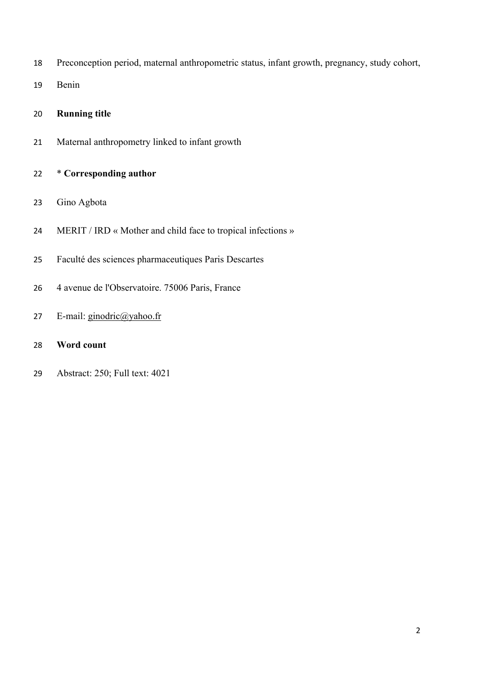Preconception period, maternal anthropometric status, infant growth, pregnancy, study cohort,

Benin

## **Running title**

Maternal anthropometry linked to infant growth

# \* **Corresponding author**

- Gino Agbota
- 24 MERIT / IRD « Mother and child face to tropical infections »
- Faculté des sciences pharmaceutiques Paris Descartes
- 4 avenue de l'Observatoire. 75006 Paris, France
- 27 E-mail:  $\frac{\text{ginodric}(\partial \text{yahoo.fr})}{\text{ginodric}(\partial \text{yahoo.fr})}$

# **Word count**

Abstract: 250; Full text: 4021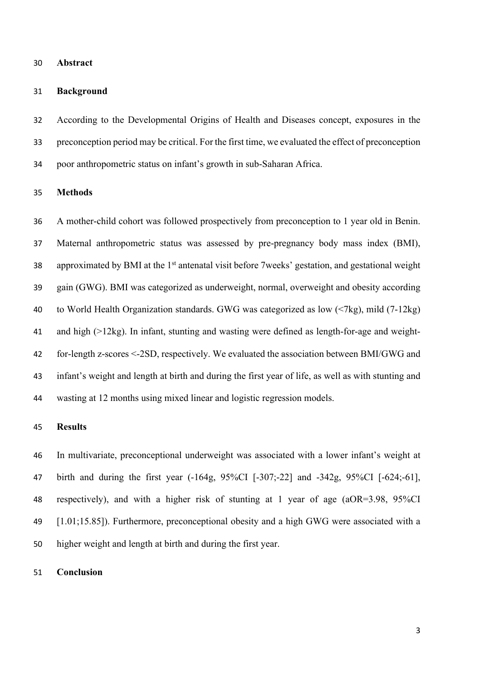## **Abstract**

#### **Background**

 According to the Developmental Origins of Health and Diseases concept, exposures in the preconception period may be critical. For the first time, we evaluated the effect of preconception poor anthropometric status on infant's growth in sub-Saharan Africa.

## **Methods**

 A mother-child cohort was followed prospectively from preconception to 1 year old in Benin. Maternal anthropometric status was assessed by pre-pregnancy body mass index (BMI), 38 approximated by BMI at the  $1<sup>st</sup>$  antenatal visit before 7weeks' gestation, and gestational weight gain (GWG). BMI was categorized as underweight, normal, overweight and obesity according to World Health Organization standards. GWG was categorized as low (<7kg), mild (7-12kg) and high (>12kg). In infant, stunting and wasting were defined as length-for-age and weight- for-length z-scores <-2SD, respectively. We evaluated the association between BMI/GWG and infant's weight and length at birth and during the first year of life, as well as with stunting and wasting at 12 months using mixed linear and logistic regression models.

## **Results**

 In multivariate, preconceptional underweight was associated with a lower infant's weight at birth and during the first year (-164g, 95%CI [-307;-22] and -342g, 95%CI [-624;-61], respectively), and with a higher risk of stunting at 1 year of age (aOR=3.98, 95%CI [1.01;15.85]). Furthermore, preconceptional obesity and a high GWG were associated with a higher weight and length at birth and during the first year.

#### **Conclusion**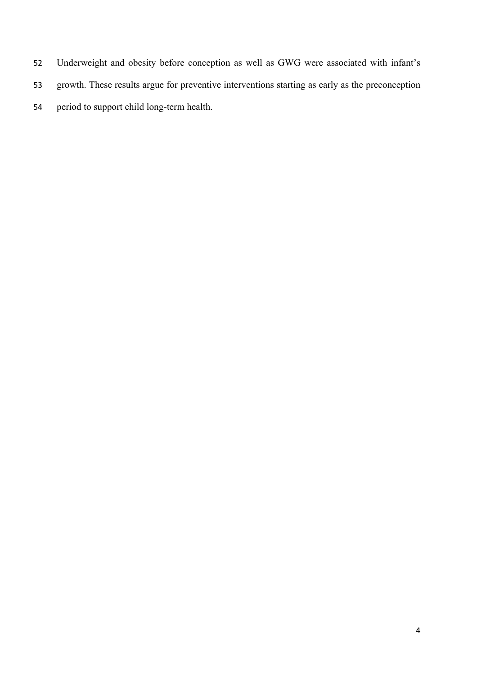- Underweight and obesity before conception as well as GWG were associated with infant's
- growth. These results argue for preventive interventions starting as early as the preconception
- period to support child long-term health.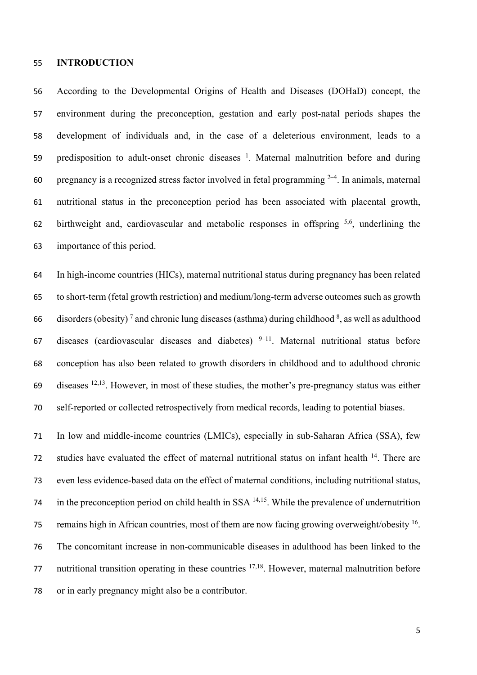## **INTRODUCTION**

 According to the Developmental Origins of Health and Diseases (DOHaD) concept, the environment during the preconception, gestation and early post-natal periods shapes the development of individuals and, in the case of a deleterious environment, leads to a 59 . predisposition to adult-onset chronic diseases  $\frac{1}{2}$ . Maternal malnutrition before and during 60 pregnancy is a recognized stress factor involved in fetal programming  $2-4$ . In animals, maternal nutritional status in the preconception period has been associated with placental growth, 62 birthweight and, cardiovascular and metabolic responses in offspring  $5.6$ , underlining the importance of this period.

 In high-income countries (HICs), maternal nutritional status during pregnancy has been related to short-term (fetal growth restriction) and medium/long-term adverse outcomes such as growth 66 disorders (obesity)<sup>7</sup> and chronic lung diseases (asthma) during childhood  $\delta$ , as well as adulthood 67 diseases (cardiovascular diseases and diabetes)  $9-11$ . Maternal nutritional status before conception has also been related to growth disorders in childhood and to adulthood chronic  $\alpha$  diseases <sup>12,13</sup>. However, in most of these studies, the mother's pre-pregnancy status was either self-reported or collected retrospectively from medical records, leading to potential biases.

 In low and middle-income countries (LMICs), especially in sub-Saharan Africa (SSA), few 72 studies have evaluated the effect of maternal nutritional status on infant health . There are even less evidence-based data on the effect of maternal conditions, including nutritional status,  $\overline{a}$  in the preconception period on child health in SSA  $\frac{14,15}{2}$ . While the prevalence of undernutrition 75 remains high in African countries, most of them are now facing growing overweight/obesity <sup>16</sup>. The concomitant increase in non-communicable diseases in adulthood has been linked to the 77 nutritional transition operating in these countries  $17,18$ . However, maternal malnutrition before or in early pregnancy might also be a contributor.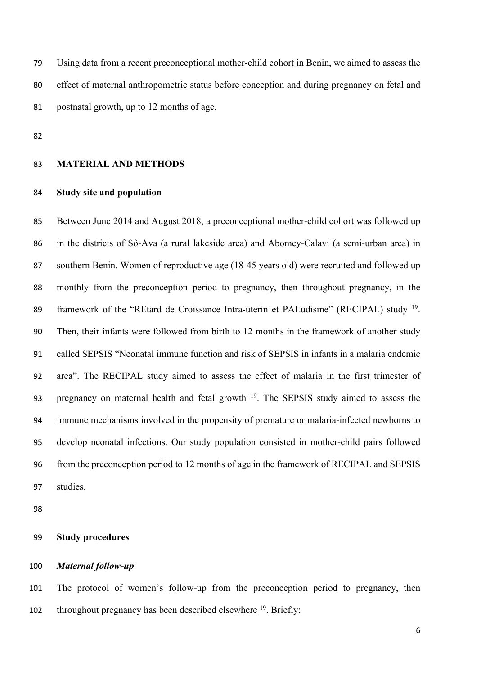Using data from a recent preconceptional mother-child cohort in Benin, we aimed to assess the effect of maternal anthropometric status before conception and during pregnancy on fetal and postnatal growth, up to 12 months of age.

## **MATERIAL AND METHODS**

## **Study site and population**

 Between June 2014 and August 2018, a preconceptional mother-child cohort was followed up in the districts of Sô-Ava (a rural lakeside area) and Abomey-Calavi (a semi-urban area) in southern Benin. Women of reproductive age (18-45 years old) were recruited and followed up monthly from the preconception period to pregnancy, then throughout pregnancy, in the 89 framework of the "REtard de Croissance Intra-uterin et PALudisme" (RECIPAL) study <sup>19</sup>. Then, their infants were followed from birth to 12 months in the framework of another study called SEPSIS "Neonatal immune function and risk of SEPSIS in infants in a malaria endemic area". The RECIPAL study aimed to assess the effect of malaria in the first trimester of 93 pregnancy on maternal health and fetal growth . The SEPSIS study aimed to assess the immune mechanisms involved in the propensity of premature or malaria-infected newborns to develop neonatal infections. Our study population consisted in mother-child pairs followed from the preconception period to 12 months of age in the framework of RECIPAL and SEPSIS studies.

### **Study procedures**

## *Maternal follow-up*

 The protocol of women's follow-up from the preconception period to pregnancy, then 102 throughout pregnancy has been described elsewhere . Briefly: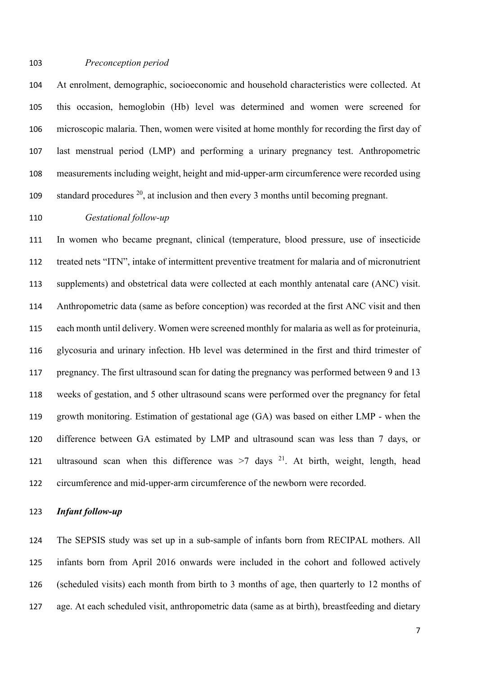#### *Preconception period*

 At enrolment, demographic, socioeconomic and household characteristics were collected. At this occasion, hemoglobin (Hb) level was determined and women were screened for microscopic malaria. Then, women were visited at home monthly for recording the first day of last menstrual period (LMP) and performing a urinary pregnancy test. Anthropometric measurements including weight, height and mid-upper-arm circumference were recorded using standard procedures , at inclusion and then every 3 months until becoming pregnant.

#### *Gestational follow-up*

 In women who became pregnant, clinical (temperature, blood pressure, use of insecticide treated nets "ITN", intake of intermittent preventive treatment for malaria and of micronutrient supplements) and obstetrical data were collected at each monthly antenatal care (ANC) visit. Anthropometric data (same as before conception) was recorded at the first ANC visit and then each month until delivery. Women were screened monthly for malaria as well as for proteinuria, glycosuria and urinary infection. Hb level was determined in the first and third trimester of pregnancy. The first ultrasound scan for dating the pregnancy was performed between 9 and 13 weeks of gestation, and 5 other ultrasound scans were performed over the pregnancy for fetal growth monitoring. Estimation of gestational age (GA) was based on either LMP - when the difference between GA estimated by LMP and ultrasound scan was less than 7 days, or 121 ultrasound scan when this difference was  $>7$  days <sup>21</sup>. At birth, weight, length, head circumference and mid-upper-arm circumference of the newborn were recorded.

#### *Infant follow-up*

 The SEPSIS study was set up in a sub-sample of infants born from RECIPAL mothers. All infants born from April 2016 onwards were included in the cohort and followed actively (scheduled visits) each month from birth to 3 months of age, then quarterly to 12 months of age. At each scheduled visit, anthropometric data (same as at birth), breastfeeding and dietary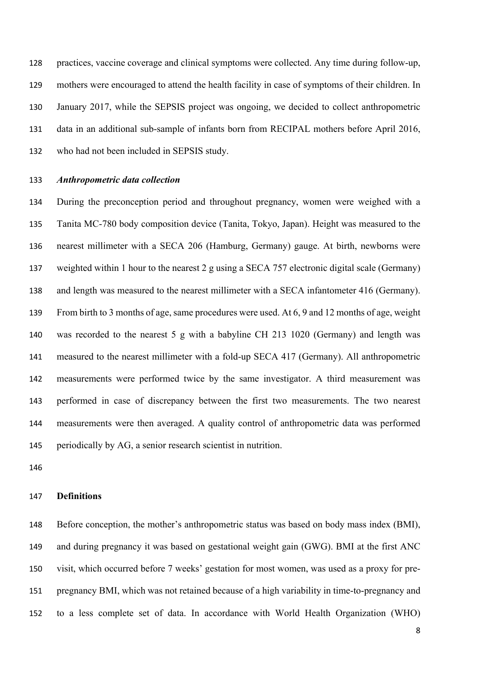practices, vaccine coverage and clinical symptoms were collected. Any time during follow-up, mothers were encouraged to attend the health facility in case of symptoms of their children. In January 2017, while the SEPSIS project was ongoing, we decided to collect anthropometric data in an additional sub-sample of infants born from RECIPAL mothers before April 2016, who had not been included in SEPSIS study.

## *Anthropometric data collection*

 During the preconception period and throughout pregnancy, women were weighed with a Tanita MC-780 body composition device (Tanita, Tokyo, Japan). Height was measured to the nearest millimeter with a SECA 206 (Hamburg, Germany) gauge. At birth, newborns were weighted within 1 hour to the nearest 2 g using a SECA 757 electronic digital scale (Germany) and length was measured to the nearest millimeter with a SECA infantometer 416 (Germany). From birth to 3 months of age, same procedures were used. At 6, 9 and 12 months of age, weight was recorded to the nearest 5 g with a babyline CH 213 1020 (Germany) and length was measured to the nearest millimeter with a fold-up SECA 417 (Germany). All anthropometric measurements were performed twice by the same investigator. A third measurement was performed in case of discrepancy between the first two measurements. The two nearest measurements were then averaged. A quality control of anthropometric data was performed periodically by AG, a senior research scientist in nutrition.

## **Definitions**

 Before conception, the mother's anthropometric status was based on body mass index (BMI), and during pregnancy it was based on gestational weight gain (GWG). BMI at the first ANC visit, which occurred before 7 weeks' gestation for most women, was used as a proxy for pre- pregnancy BMI, which was not retained because of a high variability in time-to-pregnancy and to a less complete set of data. In accordance with World Health Organization (WHO)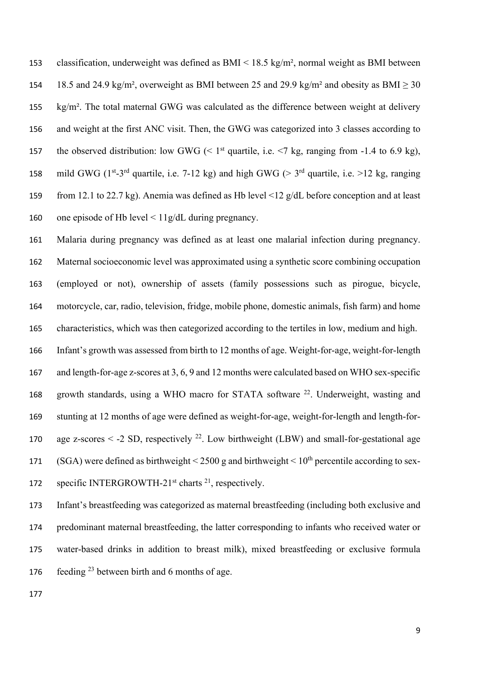classification, underweight was defined as BMI < 18.5 kg/m², normal weight as BMI between 154 18.5 and 24.9 kg/m<sup>2</sup>, overweight as BMI between 25 and 29.9 kg/m<sup>2</sup> and obesity as BMI > 30 155 kg/m<sup>2</sup>. The total maternal GWG was calculated as the difference between weight at delivery and weight at the first ANC visit. Then, the GWG was categorized into 3 classes according to 157 the observed distribution: low GWG  $($  1st quartile, i.e.  $\leq$  7 kg, ranging from -1.4 to 6.9 kg), 158 mild GWG ( $1^{st}$ -3<sup>rd</sup> quartile, i.e. 7-12 kg) and high GWG ( $> 3^{rd}$  quartile, i.e.  $>12$  kg, ranging from 12.1 to 22.7 kg). Anemia was defined as Hb level <12 g/dL before conception and at least one episode of Hb level < 11g/dL during pregnancy.

 Malaria during pregnancy was defined as at least one malarial infection during pregnancy. Maternal socioeconomic level was approximated using a synthetic score combining occupation (employed or not), ownership of assets (family possessions such as pirogue, bicycle, motorcycle, car, radio, television, fridge, mobile phone, domestic animals, fish farm) and home characteristics, which was then categorized according to the tertiles in low, medium and high.

 Infant's growth was assessed from birth to 12 months of age. Weight-for-age, weight-for-length and length-for-age z-scores at 3, 6, 9 and 12 months were calculated based on WHO sex-specific 168 growth standards, using a WHO macro for STATA software . Underweight, wasting and stunting at 12 months of age were defined as weight-for-age, weight-for-length and length-for-170 age z-scores  $\le$  -2 SD, respectively <sup>22</sup>. Low birthweight (LBW) and small-for-gestational age 171 (SGA) were defined as birthweight  $\leq$  2500 g and birthweight  $\leq$  10<sup>th</sup> percentile according to sex-172 specific INTERGROWTH-21<sup>st</sup> charts <sup>21</sup>, respectively.

 Infant's breastfeeding was categorized as maternal breastfeeding (including both exclusive and predominant maternal breastfeeding, the latter corresponding to infants who received water or water-based drinks in addition to breast milk), mixed breastfeeding or exclusive formula 176 feeding between birth and 6 months of age.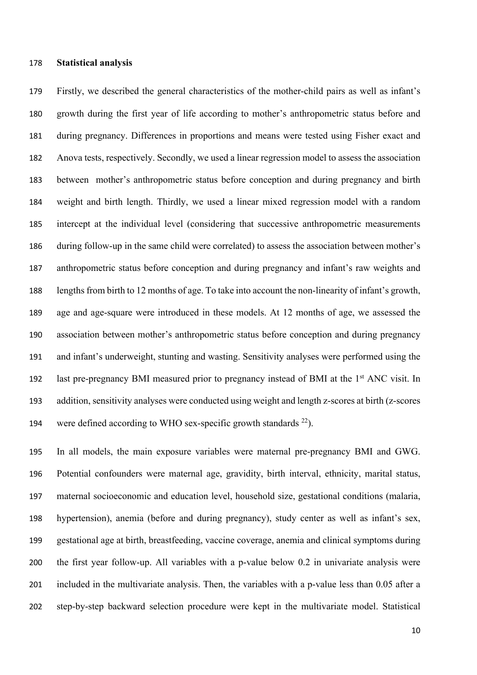#### **Statistical analysis**

 Firstly, we described the general characteristics of the mother-child pairs as well as infant's growth during the first year of life according to mother's anthropometric status before and during pregnancy. Differences in proportions and means were tested using Fisher exact and Anova tests, respectively. Secondly, we used a linear regression model to assess the association between mother's anthropometric status before conception and during pregnancy and birth weight and birth length. Thirdly, we used a linear mixed regression model with a random intercept at the individual level (considering that successive anthropometric measurements during follow-up in the same child were correlated) to assess the association between mother's anthropometric status before conception and during pregnancy and infant's raw weights and 188 lengths from birth to 12 months of age. To take into account the non-linearity of infant's growth, age and age-square were introduced in these models. At 12 months of age, we assessed the association between mother's anthropometric status before conception and during pregnancy and infant's underweight, stunting and wasting. Sensitivity analyses were performed using the 192 last pre-pregnancy BMI measured prior to pregnancy instead of BMI at the  $1<sup>st</sup>$  ANC visit. In addition, sensitivity analyses were conducted using weight and length z-scores at birth (z-scores 194 were defined according to WHO sex-specific growth standards  $^{22}$ ).

 In all models, the main exposure variables were maternal pre-pregnancy BMI and GWG. Potential confounders were maternal age, gravidity, birth interval, ethnicity, marital status, maternal socioeconomic and education level, household size, gestational conditions (malaria, hypertension), anemia (before and during pregnancy), study center as well as infant's sex, gestational age at birth, breastfeeding, vaccine coverage, anemia and clinical symptoms during the first year follow-up. All variables with a p-value below 0.2 in univariate analysis were included in the multivariate analysis. Then, the variables with a p-value less than 0.05 after a step-by-step backward selection procedure were kept in the multivariate model. Statistical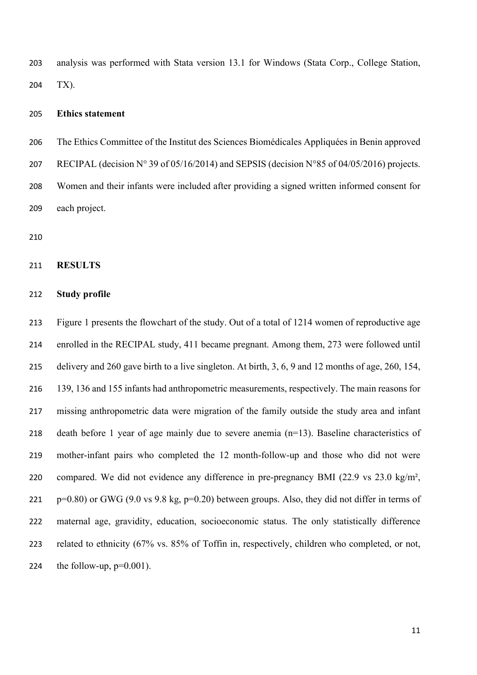analysis was performed with Stata version 13.1 for Windows (Stata Corp., College Station, TX).

## **Ethics statement**

 The Ethics Committee of the Institut des Sciences Biomédicales Appliquées in Benin approved 207 RECIPAL (decision  $N^{\circ}$  39 of 05/16/2014) and SEPSIS (decision  $N^{\circ}$ 85 of 04/05/2016) projects. Women and their infants were included after providing a signed written informed consent for each project.

## **RESULTS**

## **Study profile**

 Figure 1 presents the flowchart of the study. Out of a total of 1214 women of reproductive age enrolled in the RECIPAL study, 411 became pregnant. Among them, 273 were followed until delivery and 260 gave birth to a live singleton. At birth, 3, 6, 9 and 12 months of age, 260, 154, 139, 136 and 155 infants had anthropometric measurements, respectively. The main reasons for missing anthropometric data were migration of the family outside the study area and infant death before 1 year of age mainly due to severe anemia (n=13). Baseline characteristics of mother-infant pairs who completed the 12 month-follow-up and those who did not were compared. We did not evidence any difference in pre-pregnancy BMI (22.9 vs 23.0 kg/m², 221 p=0.80) or GWG (9.0 vs 9.8 kg, p=0.20) between groups. Also, they did not differ in terms of maternal age, gravidity, education, socioeconomic status. The only statistically difference related to ethnicity (67% vs. 85% of Toffin in, respectively, children who completed, or not, 224 the follow-up,  $p=0.001$ ).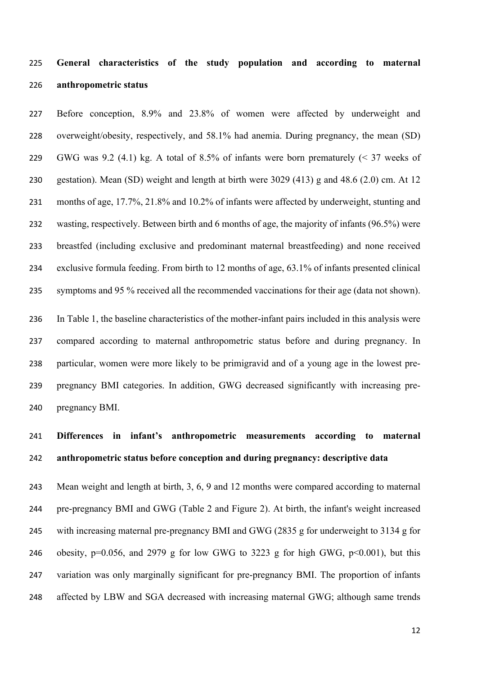# **General characteristics of the study population and according to maternal anthropometric status**

 Before conception, 8.9% and 23.8% of women were affected by underweight and overweight/obesity, respectively, and 58.1% had anemia. During pregnancy, the mean (SD) GWG was 9.2 (4.1) kg. A total of 8.5% of infants were born prematurely (< 37 weeks of gestation). Mean (SD) weight and length at birth were 3029 (413) g and 48.6 (2.0) cm. At 12 months of age, 17.7%, 21.8% and 10.2% of infants were affected by underweight, stunting and wasting, respectively. Between birth and 6 months of age, the majority of infants (96.5%) were breastfed (including exclusive and predominant maternal breastfeeding) and none received exclusive formula feeding. From birth to 12 months of age, 63.1% of infants presented clinical symptoms and 95 % received all the recommended vaccinations for their age (data not shown).

 In Table 1, the baseline characteristics of the mother-infant pairs included in this analysis were compared according to maternal anthropometric status before and during pregnancy. In particular, women were more likely to be primigravid and of a young age in the lowest pre- pregnancy BMI categories. In addition, GWG decreased significantly with increasing pre-pregnancy BMI.

# **Differences in infant's anthropometric measurements according to maternal anthropometric status before conception and during pregnancy: descriptive data**

 Mean weight and length at birth, 3, 6, 9 and 12 months were compared according to maternal pre-pregnancy BMI and GWG (Table 2 and Figure 2). At birth, the infant's weight increased with increasing maternal pre-pregnancy BMI and GWG (2835 g for underweight to 3134 g for 246 obesity, p=0.056, and 2979 g for low GWG to 3223 g for high GWG, p<0.001), but this variation was only marginally significant for pre-pregnancy BMI. The proportion of infants 248 affected by LBW and SGA decreased with increasing maternal GWG; although same trends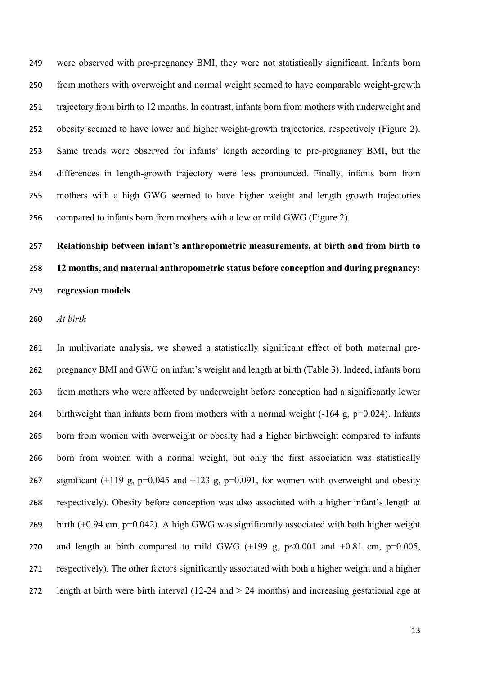were observed with pre-pregnancy BMI, they were not statistically significant. Infants born from mothers with overweight and normal weight seemed to have comparable weight-growth trajectory from birth to 12 months. In contrast, infants born from mothers with underweight and obesity seemed to have lower and higher weight-growth trajectories, respectively (Figure 2). Same trends were observed for infants' length according to pre-pregnancy BMI, but the differences in length-growth trajectory were less pronounced. Finally, infants born from mothers with a high GWG seemed to have higher weight and length growth trajectories compared to infants born from mothers with a low or mild GWG (Figure 2).

# **Relationship between infant's anthropometric measurements, at birth and from birth to 12 months, and maternal anthropometric status before conception and during pregnancy: regression models**

#### *At birth*

 In multivariate analysis, we showed a statistically significant effect of both maternal pre- pregnancy BMI and GWG on infant's weight and length at birth (Table 3). Indeed, infants born from mothers who were affected by underweight before conception had a significantly lower 264 birthweight than infants born from mothers with a normal weight  $(-164 \text{ g}, \text{p}=0.024)$ . Infants born from women with overweight or obesity had a higher birthweight compared to infants born from women with a normal weight, but only the first association was statistically 267 significant (+119 g, p=0.045 and +123 g, p=0.091, for women with overweight and obesity respectively). Obesity before conception was also associated with a higher infant's length at birth (+0.94 cm, p=0.042). A high GWG was significantly associated with both higher weight 270 and length at birth compared to mild GWG  $(+199 \text{ g}, \text{ p} < 0.001 \text{ and } +0.81 \text{ cm}, \text{ p} = 0.005,$  respectively). The other factors significantly associated with both a higher weight and a higher length at birth were birth interval (12-24 and > 24 months) and increasing gestational age at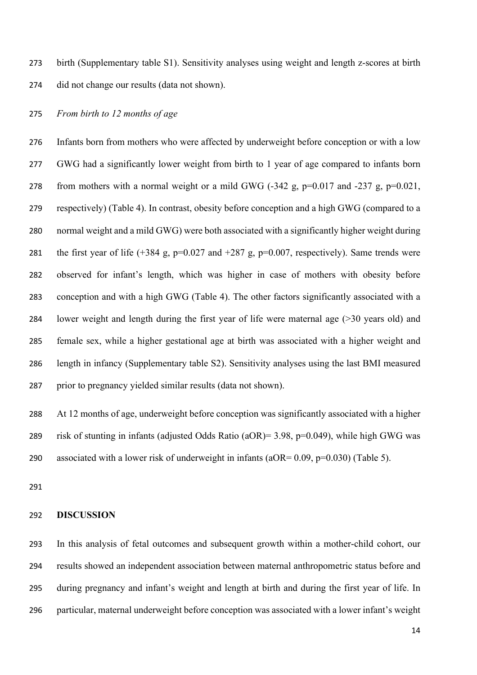birth (Supplementary table S1). Sensitivity analyses using weight and length z-scores at birth did not change our results (data not shown).

*From birth to 12 months of age*

 Infants born from mothers who were affected by underweight before conception or with a low GWG had a significantly lower weight from birth to 1 year of age compared to infants born 278 from mothers with a normal weight or a mild GWG  $(-342 \text{ g}, \text{p}=0.017 \text{ and } -237 \text{ g}, \text{p}=0.021$ , respectively) (Table 4). In contrast, obesity before conception and a high GWG (compared to a normal weight and a mild GWG) were both associated with a significantly higher weight during 281 the first year of life  $(+384 \text{ g}, \text{p}=0.027 \text{ and } +287 \text{ g}, \text{p}=0.007 \text{, respectively})$ . Same trends were observed for infant's length, which was higher in case of mothers with obesity before conception and with a high GWG (Table 4). The other factors significantly associated with a lower weight and length during the first year of life were maternal age (>30 years old) and female sex, while a higher gestational age at birth was associated with a higher weight and length in infancy (Supplementary table S2). Sensitivity analyses using the last BMI measured prior to pregnancy yielded similar results (data not shown).

 At 12 months of age, underweight before conception was significantly associated with a higher risk of stunting in infants (adjusted Odds Ratio (aOR)= 3.98, p=0.049), while high GWG was 290 associated with a lower risk of underweight in infants ( $aOR = 0.09$ ,  $p=0.030$ ) (Table 5).

#### **DISCUSSION**

 In this analysis of fetal outcomes and subsequent growth within a mother-child cohort, our results showed an independent association between maternal anthropometric status before and during pregnancy and infant's weight and length at birth and during the first year of life. In particular, maternal underweight before conception was associated with a lower infant's weight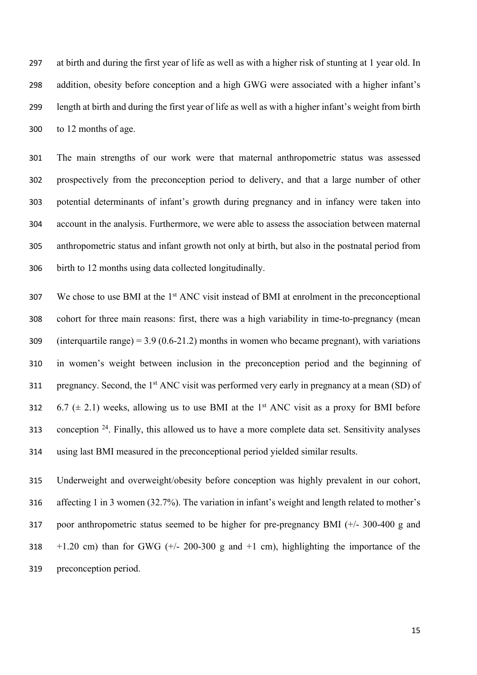at birth and during the first year of life as well as with a higher risk of stunting at 1 year old. In addition, obesity before conception and a high GWG were associated with a higher infant's length at birth and during the first year of life as well as with a higher infant's weight from birth to 12 months of age.

 The main strengths of our work were that maternal anthropometric status was assessed prospectively from the preconception period to delivery, and that a large number of other potential determinants of infant's growth during pregnancy and in infancy were taken into account in the analysis. Furthermore, we were able to assess the association between maternal anthropometric status and infant growth not only at birth, but also in the postnatal period from birth to 12 months using data collected longitudinally.

 We chose to use BMI at the 1<sup>st</sup> ANC visit instead of BMI at enrolment in the preconceptional cohort for three main reasons: first, there was a high variability in time-to-pregnancy (mean 309 (interquartile range) =  $3.9$  (0.6-21.2) months in women who became pregnant), with variations in women's weight between inclusion in the preconception period and the beginning of 311 pregnancy. Second, the  $1<sup>st</sup> ANC$  visit was performed very early in pregnancy at a mean (SD) of 312 6.7 ( $\pm$  2.1) weeks, allowing us to use BMI at the 1<sup>st</sup> ANC visit as a proxy for BMI before 313 . conception . Finally, this allowed us to have a more complete data set. Sensitivity analyses using last BMI measured in the preconceptional period yielded similar results.

 Underweight and overweight/obesity before conception was highly prevalent in our cohort, affecting 1 in 3 women (32.7%). The variation in infant's weight and length related to mother's poor anthropometric status seemed to be higher for pre-pregnancy BMI (+/- 300-400 g and  $+1.20$  cm) than for GWG ( $+/- 200-300$  g and  $+1$  cm), highlighting the importance of the preconception period.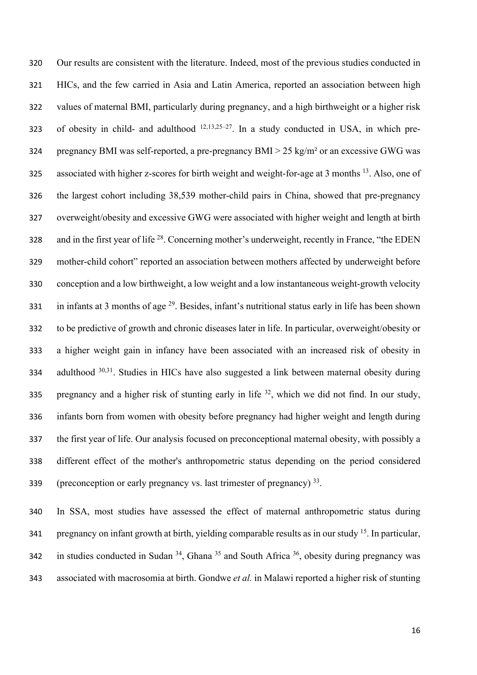Our results are consistent with the literature. Indeed, most of the previous studies conducted in HICs, and the few carried in Asia and Latin America, reported an association between high values of maternal BMI, particularly during pregnancy, and a high birthweight or a higher risk 323 of obesity in child- and adulthood  $12,13,25-27$ . In a study conducted in USA, in which pre- pregnancy BMI was self-reported, a pre-pregnancy BMI > 25 kg/m² or an excessive GWG was 325 associated with higher z-scores for birth weight and weight-for-age at 3 months  $^{13}$ . Also, one of the largest cohort including 38,539 mother-child pairs in China, showed that pre-pregnancy overweight/obesity and excessive GWG were associated with higher weight and length at birth 328 and in the first year of life  $^{28}$ . Concerning mother's underweight, recently in France, "the EDEN mother-child cohort" reported an association between mothers affected by underweight before conception and a low birthweight, a low weight and a low instantaneous weight-growth velocity 331 in infants at 3 months of age . Besides, infant's nutritional status early in life has been shown to be predictive of growth and chronic diseases later in life. In particular, overweight/obesity or a higher weight gain in infancy have been associated with an increased risk of obesity in 334 adulthood  $30,31$ . Studies in HICs have also suggested a link between maternal obesity during 335 pregnancy and a higher risk of stunting early in life , which we did not find. In our study, infants born from women with obesity before pregnancy had higher weight and length during the first year of life. Our analysis focused on preconceptional maternal obesity, with possibly a different effect of the mother's anthropometric status depending on the period considered (preconception or early pregnancy vs. last trimester of pregnancy) .

 In SSA, most studies have assessed the effect of maternal anthropometric status during 341 pregnancy on infant growth at birth, yielding comparable results as in our study . In particular, 342 in studies conducted in Sudan , Ghana  $35$  and South Africa  $36$ , obesity during pregnancy was associated with macrosomia at birth. Gondwe *et al.* in Malawi reported a higher risk of stunting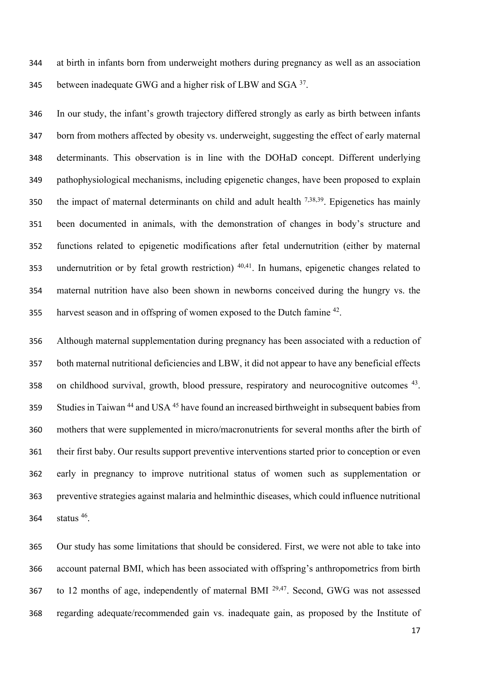at birth in infants born from underweight mothers during pregnancy as well as an association 345 between inadequate GWG and a higher risk of LBW and  $SGA^{37}$ .

 In our study, the infant's growth trajectory differed strongly as early as birth between infants born from mothers affected by obesity vs. underweight, suggesting the effect of early maternal determinants. This observation is in line with the DOHaD concept. Different underlying pathophysiological mechanisms, including epigenetic changes, have been proposed to explain 350 the impact of maternal determinants on child and adult health  $^{7,38,39}$ . Epigenetics has mainly been documented in animals, with the demonstration of changes in body's structure and functions related to epigenetic modifications after fetal undernutrition (either by maternal 353 undernutrition or by fetal growth restriction)  $40,41$ . In humans, epigenetic changes related to maternal nutrition have also been shown in newborns conceived during the hungry vs. the 355 harvest season and in offspring of women exposed to the Dutch famine .

 Although maternal supplementation during pregnancy has been associated with a reduction of both maternal nutritional deficiencies and LBW, it did not appear to have any beneficial effects 358 on childhood survival, growth, blood pressure, respiratory and neurocognitive outcomes . Studies in Taiwan<sup>44</sup> and USA<sup>45</sup> have found an increased birthweight in subsequent babies from mothers that were supplemented in micro/macronutrients for several months after the birth of their first baby. Our results support preventive interventions started prior to conception or even early in pregnancy to improve nutritional status of women such as supplementation or preventive strategies against malaria and helminthic diseases, which could influence nutritional 364 status .

 Our study has some limitations that should be considered. First, we were not able to take into account paternal BMI, which has been associated with offspring's anthropometrics from birth 367 to 12 months of age, independently of maternal BMI  $^{29,47}$ . Second, GWG was not assessed regarding adequate/recommended gain vs. inadequate gain, as proposed by the Institute of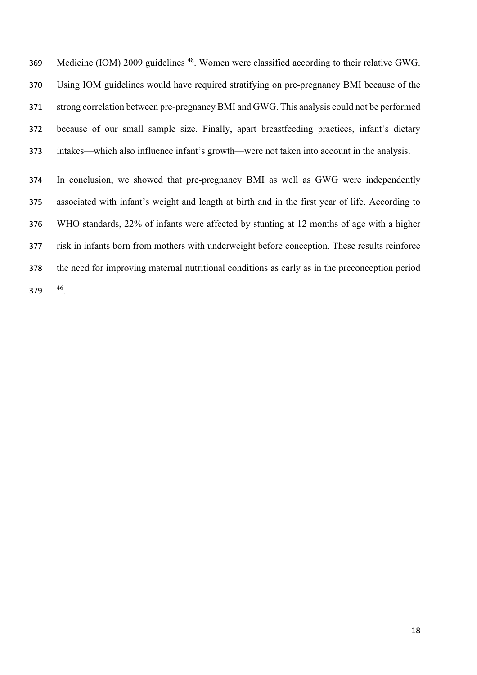369 Medicine (IOM) 2009 guidelines <sup>48</sup>. Women were classified according to their relative GWG. Using IOM guidelines would have required stratifying on pre-pregnancy BMI because of the strong correlation between pre-pregnancy BMI and GWG. This analysis could not be performed because of our small sample size. Finally, apart breastfeeding practices, infant's dietary intakes—which also influence infant's growth—were not taken into account in the analysis.

 In conclusion, we showed that pre-pregnancy BMI as well as GWG were independently associated with infant's weight and length at birth and in the first year of life. According to WHO standards, 22% of infants were affected by stunting at 12 months of age with a higher risk in infants born from mothers with underweight before conception. These results reinforce the need for improving maternal nutritional conditions as early as in the preconception period 379 .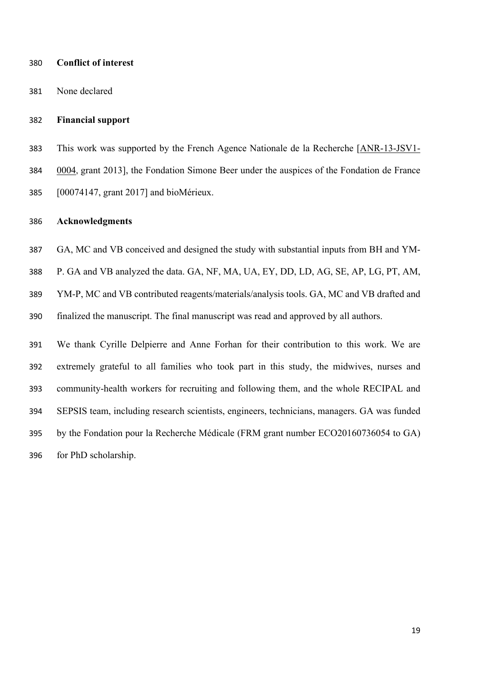## **Conflict of interest**

None declared

### **Financial support**

 This work was supported by the French Agence Nationale de la Recherche [ANR-13-JSV1- 0004, grant 2013], the Fondation Simone Beer under the auspices of the Fondation de France [00074147, grant 2017] and bioMérieux.

#### **Acknowledgments**

GA, MC and VB conceived and designed the study with substantial inputs from BH and YM-

P. GA and VB analyzed the data. GA, NF, MA, UA, EY, DD, LD, AG, SE, AP, LG, PT, AM,

 YM-P, MC and VB contributed reagents/materials/analysis tools. GA, MC and VB drafted and finalized the manuscript. The final manuscript was read and approved by all authors.

 We thank Cyrille Delpierre and Anne Forhan for their contribution to this work. We are extremely grateful to all families who took part in this study, the midwives, nurses and community-health workers for recruiting and following them, and the whole RECIPAL and SEPSIS team, including research scientists, engineers, technicians, managers. GA was funded by the Fondation pour la Recherche Médicale (FRM grant number ECO20160736054 to GA) for PhD scholarship.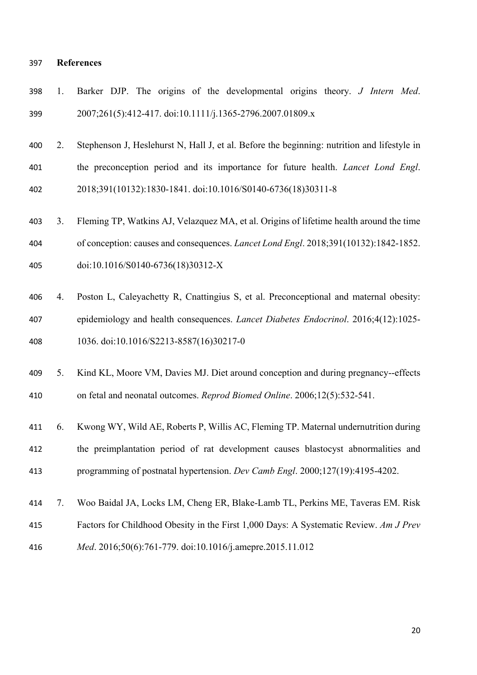#### **References**

|     |  |  |  | 398 1. Barker DJP. The origins of the developmental origins theory. J Intern Med. |  |  |  |
|-----|--|--|--|-----------------------------------------------------------------------------------|--|--|--|
| 399 |  |  |  | 2007;261(5):412-417. doi:10.1111/j.1365-2796.2007.01809.x                         |  |  |  |

- 2. Stephenson J, Heslehurst N, Hall J, et al. Before the beginning: nutrition and lifestyle in the preconception period and its importance for future health. *Lancet Lond Engl*. 2018;391(10132):1830-1841. doi:10.1016/S0140-6736(18)30311-8
- 3. Fleming TP, Watkins AJ, Velazquez MA, et al. Origins of lifetime health around the time of conception: causes and consequences. *Lancet Lond Engl*. 2018;391(10132):1842-1852. doi:10.1016/S0140-6736(18)30312-X
- 4. Poston L, Caleyachetty R, Cnattingius S, et al. Preconceptional and maternal obesity: epidemiology and health consequences. *Lancet Diabetes Endocrinol*. 2016;4(12):1025- 1036. doi:10.1016/S2213-8587(16)30217-0
- 5. Kind KL, Moore VM, Davies MJ. Diet around conception and during pregnancy--effects on fetal and neonatal outcomes. *Reprod Biomed Online*. 2006;12(5):532-541.
- 6. Kwong WY, Wild AE, Roberts P, Willis AC, Fleming TP. Maternal undernutrition during the preimplantation period of rat development causes blastocyst abnormalities and programming of postnatal hypertension. *Dev Camb Engl*. 2000;127(19):4195-4202.
- 7. Woo Baidal JA, Locks LM, Cheng ER, Blake-Lamb TL, Perkins ME, Taveras EM. Risk Factors for Childhood Obesity in the First 1,000 Days: A Systematic Review. *Am J Prev*
- *Med*. 2016;50(6):761-779. doi:10.1016/j.amepre.2015.11.012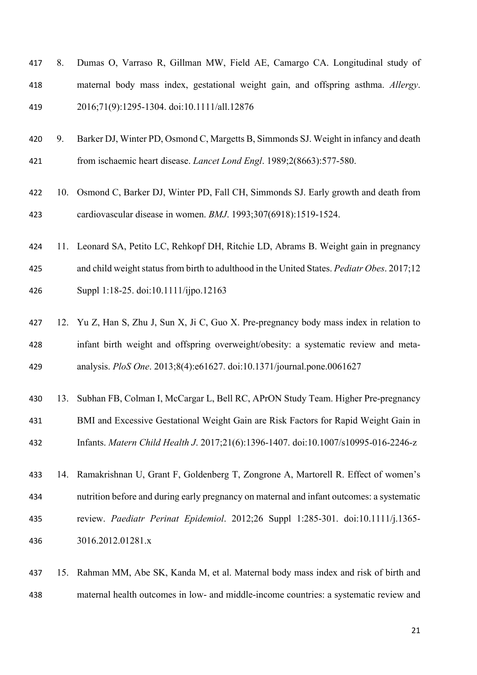| 417 8. | Dumas O, Varraso R, Gillman MW, Field AE, Camargo CA. Longitudinal study of       |
|--------|-----------------------------------------------------------------------------------|
| 418    | maternal body mass index, gestational weight gain, and offspring asthma. Allergy. |
| 419    | 2016;71(9):1295-1304. doi:10.1111/all.12876                                       |

- 9. Barker DJ, Winter PD, Osmond C, Margetts B, Simmonds SJ. Weight in infancy and death from ischaemic heart disease. *Lancet Lond Engl*. 1989;2(8663):577-580.
- 10. Osmond C, Barker DJ, Winter PD, Fall CH, Simmonds SJ. Early growth and death from cardiovascular disease in women. *BMJ*. 1993;307(6918):1519-1524.
- 11. Leonard SA, Petito LC, Rehkopf DH, Ritchie LD, Abrams B. Weight gain in pregnancy and child weight status from birth to adulthood in the United States. *Pediatr Obes*. 2017;12 Suppl 1:18-25. doi:10.1111/ijpo.12163
- 12. Yu Z, Han S, Zhu J, Sun X, Ji C, Guo X. Pre-pregnancy body mass index in relation to infant birth weight and offspring overweight/obesity: a systematic review and meta-analysis. *PloS One*. 2013;8(4):e61627. doi:10.1371/journal.pone.0061627
- 13. Subhan FB, Colman I, McCargar L, Bell RC, APrON Study Team. Higher Pre-pregnancy BMI and Excessive Gestational Weight Gain are Risk Factors for Rapid Weight Gain in Infants. *Matern Child Health J*. 2017;21(6):1396-1407. doi:10.1007/s10995-016-2246-z
- 14. Ramakrishnan U, Grant F, Goldenberg T, Zongrone A, Martorell R. Effect of women's nutrition before and during early pregnancy on maternal and infant outcomes: a systematic review. *Paediatr Perinat Epidemiol*. 2012;26 Suppl 1:285-301. doi:10.1111/j.1365- 3016.2012.01281.x
- 15. Rahman MM, Abe SK, Kanda M, et al. Maternal body mass index and risk of birth and maternal health outcomes in low- and middle-income countries: a systematic review and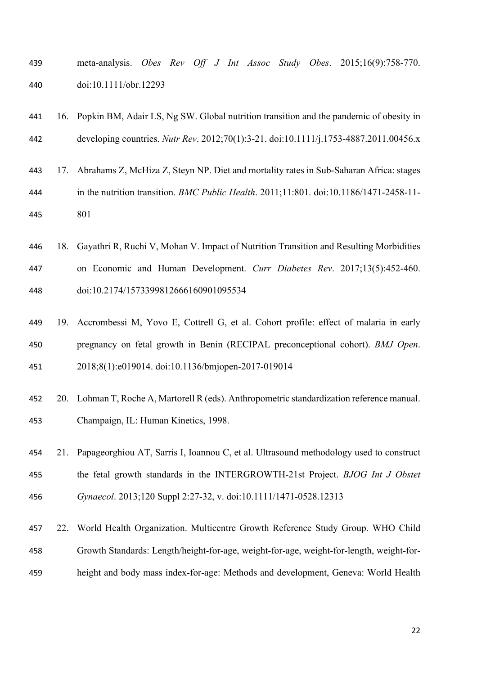| 439 |                       |  |  |  |  | meta-analysis. Obes Rev Off J Int Assoc Study Obes. 2015;16(9):758-770. |
|-----|-----------------------|--|--|--|--|-------------------------------------------------------------------------|
| 440 | doi:10.1111/obr.12293 |  |  |  |  |                                                                         |

| 441 | 16. Popkin BM, Adair LS, Ng SW. Global nutrition transition and the pandemic of obesity in       |
|-----|--------------------------------------------------------------------------------------------------|
| 442 | developing countries. Nutr Rev. 2012;70(1):3-21. doi:10.1111/j.1753-4887.2011.00456.x            |
| 443 | 17. Abrahams Z, McHiza Z, Steyn NP. Diet and mortality rates in Sub-Saharan Africa: stages       |
| 444 | in the nutrition transition. <i>BMC Public Health.</i> $2011;11:801$ . doi:10.1186/1471-2458-11- |
| 445 | 801                                                                                              |
| 446 | 18. Gayathri R, Ruchi V, Mohan V. Impact of Nutrition Transition and Resulting Morbidities       |

- on Economic and Human Development. *Curr Diabetes Rev*. 2017;13(5):452-460. doi:10.2174/1573399812666160901095534
- 19. Accrombessi M, Yovo E, Cottrell G, et al. Cohort profile: effect of malaria in early pregnancy on fetal growth in Benin (RECIPAL preconceptional cohort). *BMJ Open*. 2018;8(1):e019014. doi:10.1136/bmjopen-2017-019014
- 20. Lohman T, Roche A, Martorell R (eds). Anthropometric standardization reference manual. Champaign, IL: Human Kinetics, 1998.
- 21. Papageorghiou AT, Sarris I, Ioannou C, et al. Ultrasound methodology used to construct the fetal growth standards in the INTERGROWTH-21st Project. *BJOG Int J Obstet Gynaecol*. 2013;120 Suppl 2:27-32, v. doi:10.1111/1471-0528.12313
- 22. World Health Organization. Multicentre Growth Reference Study Group. WHO Child Growth Standards: Length/height-for-age, weight-for-age, weight-for-length, weight-for-height and body mass index-for-age: Methods and development, Geneva: World Health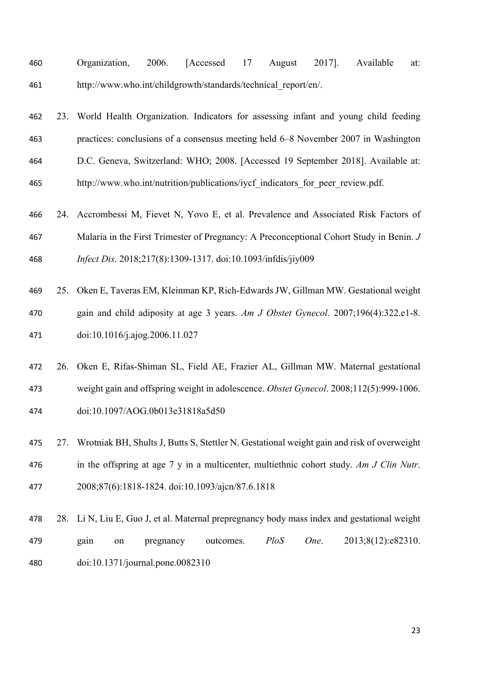| 460 | Organization, 2006. [Accessed 17 August 2017]. Available       |  |  |  | at: |
|-----|----------------------------------------------------------------|--|--|--|-----|
| 461 | http://www.who.int/childgrowth/standards/technical report/en/. |  |  |  |     |

23. World Health Organization. Indicators for assessing infant and young child feeding

 practices: conclusions of a consensus meeting held 6–8 November 2007 in Washington D.C. Geneva, Switzerland: WHO; 2008. [Accessed 19 September 2018]. Available at: 465 http://www.who.int/nutrition/publications/iycf\_indicators\_for\_peer\_review.pdf. 24. Accrombessi M, Fievet N, Yovo E, et al. Prevalence and Associated Risk Factors of

- Malaria in the First Trimester of Pregnancy: A Preconceptional Cohort Study in Benin. *J Infect Dis*. 2018;217(8):1309-1317. doi:10.1093/infdis/jiy009
- 25. Oken E, Taveras EM, Kleinman KP, Rich-Edwards JW, Gillman MW. Gestational weight gain and child adiposity at age 3 years. *Am J Obstet Gynecol*. 2007;196(4):322.e1-8. doi:10.1016/j.ajog.2006.11.027
- 26. Oken E, Rifas-Shiman SL, Field AE, Frazier AL, Gillman MW. Maternal gestational weight gain and offspring weight in adolescence. *Obstet Gynecol*. 2008;112(5):999-1006. doi:10.1097/AOG.0b013e31818a5d50
- 27. Wrotniak BH, Shults J, Butts S, Stettler N. Gestational weight gain and risk of overweight in the offspring at age 7 y in a multicenter, multiethnic cohort study. *Am J Clin Nutr*. 2008;87(6):1818-1824. doi:10.1093/ajcn/87.6.1818
- 28. Li N, Liu E, Guo J, et al. Maternal prepregnancy body mass index and gestational weight gain on pregnancy outcomes. *PloS One*. 2013;8(12):e82310. doi:10.1371/journal.pone.0082310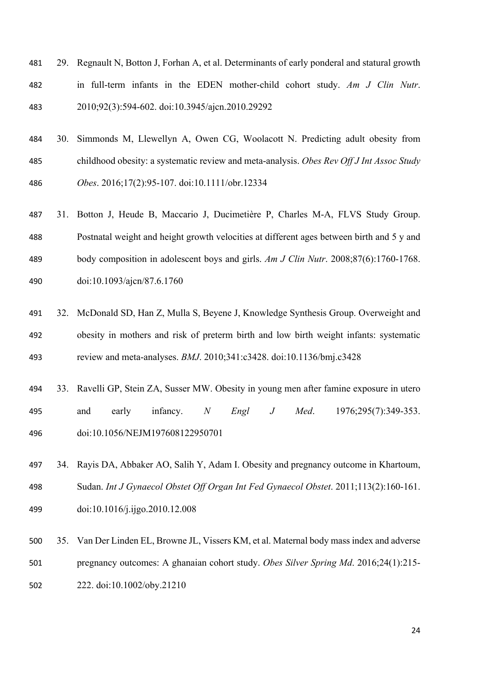| 481 | 29. Regnault N, Botton J, Forhan A, et al. Determinants of early ponderal and statural growth |
|-----|-----------------------------------------------------------------------------------------------|
| 482 | in full-term infants in the EDEN mother-child cohort study. Am J Clin Nutr.                   |
| 483 | 2010;92(3):594-602. doi:10.3945/ajcn.2010.29292                                               |

- 30. Simmonds M, Llewellyn A, Owen CG, Woolacott N. Predicting adult obesity from childhood obesity: a systematic review and meta-analysis. *Obes Rev Off J Int Assoc Study Obes*. 2016;17(2):95-107. doi:10.1111/obr.12334
- 31. Botton J, Heude B, Maccario J, Ducimetière P, Charles M-A, FLVS Study Group. Postnatal weight and height growth velocities at different ages between birth and 5 y and body composition in adolescent boys and girls. *Am J Clin Nutr*. 2008;87(6):1760-1768. doi:10.1093/ajcn/87.6.1760
- 32. McDonald SD, Han Z, Mulla S, Beyene J, Knowledge Synthesis Group. Overweight and obesity in mothers and risk of preterm birth and low birth weight infants: systematic review and meta-analyses. *BMJ*. 2010;341:c3428. doi:10.1136/bmj.c3428
- 33. Ravelli GP, Stein ZA, Susser MW. Obesity in young men after famine exposure in utero and early infancy. *N Engl J Med*. 1976;295(7):349-353. doi:10.1056/NEJM197608122950701
- 34. Rayis DA, Abbaker AO, Salih Y, Adam I. Obesity and pregnancy outcome in Khartoum, Sudan. *Int J Gynaecol Obstet Off Organ Int Fed Gynaecol Obstet*. 2011;113(2):160-161. doi:10.1016/j.ijgo.2010.12.008
- 35. Van Der Linden EL, Browne JL, Vissers KM, et al. Maternal body mass index and adverse pregnancy outcomes: A ghanaian cohort study. *Obes Silver Spring Md*. 2016;24(1):215-

222. doi:10.1002/oby.21210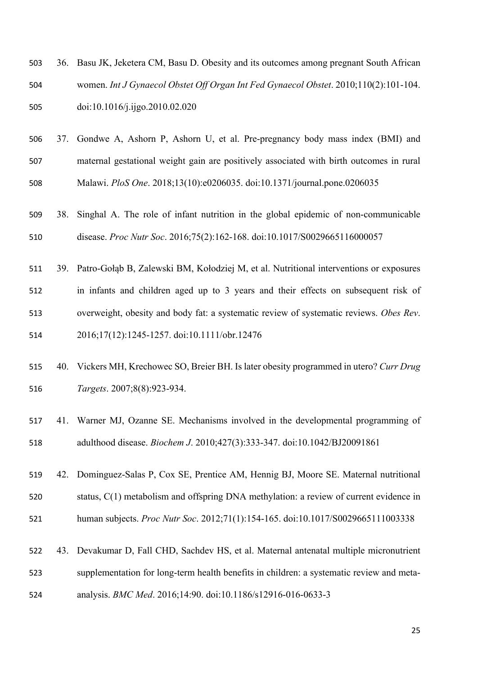| 503 | 36. Basu JK, Jeketera CM, Basu D. Obesity and its outcomes among pregnant South African |
|-----|-----------------------------------------------------------------------------------------|
| 504 | women. Int J Gynaecol Obstet Off Organ Int Fed Gynaecol Obstet. 2010;110(2):101-104.    |
| 505 | doi:10.1016/j.ijgo.2010.02.020                                                          |

- 37. Gondwe A, Ashorn P, Ashorn U, et al. Pre-pregnancy body mass index (BMI) and maternal gestational weight gain are positively associated with birth outcomes in rural Malawi. *PloS One*. 2018;13(10):e0206035. doi:10.1371/journal.pone.0206035
- 38. Singhal A. The role of infant nutrition in the global epidemic of non-communicable disease. *Proc Nutr Soc*. 2016;75(2):162-168. doi:10.1017/S0029665116000057
- 39. Patro‐Gołąb B, Zalewski BM, Kołodziej M, et al. Nutritional interventions or exposures in infants and children aged up to 3 years and their effects on subsequent risk of overweight, obesity and body fat: a systematic review of systematic reviews. *Obes Rev*. 2016;17(12):1245-1257. doi:10.1111/obr.12476
- 40. Vickers MH, Krechowec SO, Breier BH. Is later obesity programmed in utero? *Curr Drug Targets*. 2007;8(8):923-934.
- 41. Warner MJ, Ozanne SE. Mechanisms involved in the developmental programming of adulthood disease. *Biochem J*. 2010;427(3):333-347. doi:10.1042/BJ20091861
- 42. Dominguez-Salas P, Cox SE, Prentice AM, Hennig BJ, Moore SE. Maternal nutritional status, C(1) metabolism and offspring DNA methylation: a review of current evidence in human subjects. *Proc Nutr Soc*. 2012;71(1):154-165. doi:10.1017/S0029665111003338
- 43. Devakumar D, Fall CHD, Sachdev HS, et al. Maternal antenatal multiple micronutrient supplementation for long-term health benefits in children: a systematic review and meta-
- analysis. *BMC Med*. 2016;14:90. doi:10.1186/s12916-016-0633-3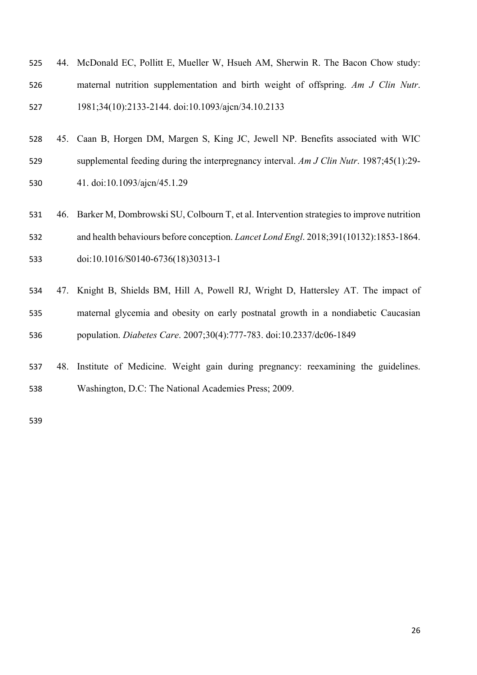| 525 | 44. McDonald EC, Pollitt E, Mueller W, Hsueh AM, Sherwin R. The Bacon Chow study: |
|-----|-----------------------------------------------------------------------------------|
| 526 | maternal nutrition supplementation and birth weight of offspring. Am J Clin Nutr. |
| 527 | 1981;34(10):2133-2144. doi:10.1093/ajcn/34.10.2133                                |

- 45. Caan B, Horgen DM, Margen S, King JC, Jewell NP. Benefits associated with WIC supplemental feeding during the interpregnancy interval. *Am J Clin Nutr*. 1987;45(1):29- 41. doi:10.1093/ajcn/45.1.29
- 46. Barker M, Dombrowski SU, Colbourn T, et al. Intervention strategies to improve nutrition and health behaviours before conception. *Lancet Lond Engl*. 2018;391(10132):1853-1864. doi:10.1016/S0140-6736(18)30313-1
- 47. Knight B, Shields BM, Hill A, Powell RJ, Wright D, Hattersley AT. The impact of maternal glycemia and obesity on early postnatal growth in a nondiabetic Caucasian population. *Diabetes Care*. 2007;30(4):777-783. doi:10.2337/dc06-1849
- 48. Institute of Medicine. Weight gain during pregnancy: reexamining the guidelines. Washington, D.C: The National Academies Press; 2009.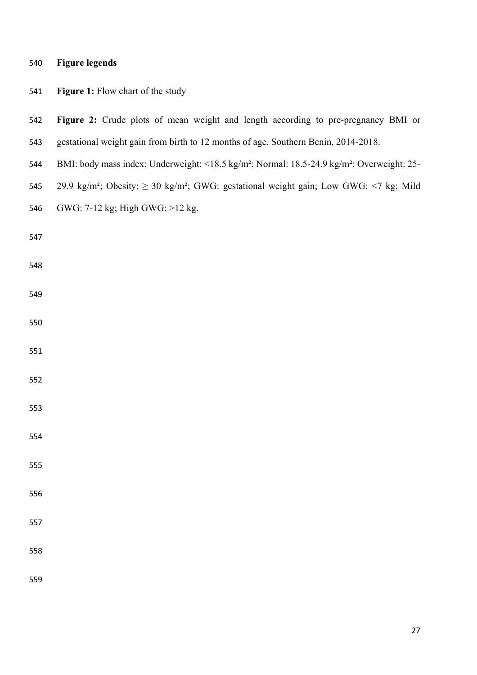| 540 | <b>Figure legends</b> |  |
|-----|-----------------------|--|
|     |                       |  |

| 541 | Figure 1: Flow chart of the study                                                                                  |
|-----|--------------------------------------------------------------------------------------------------------------------|
| 542 | Figure 2: Crude plots of mean weight and length according to pre-pregnancy BMI or                                  |
| 543 | gestational weight gain from birth to 12 months of age. Southern Benin, 2014-2018.                                 |
| 544 | BMI: body mass index; Underweight: <18.5 kg/m <sup>2</sup> ; Normal: 18.5-24.9 kg/m <sup>2</sup> ; Overweight: 25- |
| 545 | 29.9 kg/m <sup>2</sup> ; Obesity: $\geq$ 30 kg/m <sup>2</sup> ; GWG: gestational weight gain; Low GWG: <7 kg; Mild |
| 546 | GWG: 7-12 kg; High GWG: >12 kg.                                                                                    |
| 547 |                                                                                                                    |
| 548 |                                                                                                                    |
| 549 |                                                                                                                    |
| 550 |                                                                                                                    |
| 551 |                                                                                                                    |
| 552 |                                                                                                                    |
| 553 |                                                                                                                    |
| 554 |                                                                                                                    |
| 555 |                                                                                                                    |
| 556 |                                                                                                                    |
| 557 |                                                                                                                    |
| 558 |                                                                                                                    |
| 559 |                                                                                                                    |
|     |                                                                                                                    |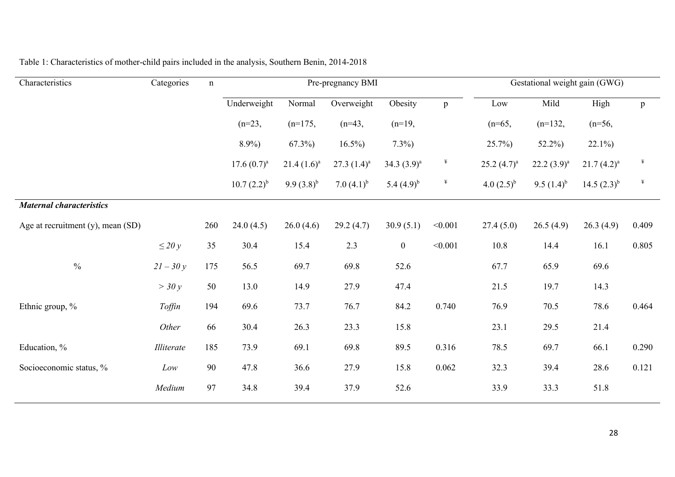| Characteristics                   | Categories  | n   |                  |                 | Pre-pregnancy BMI |                  |              | Gestational weight gain (GWG) |                 |                  |       |
|-----------------------------------|-------------|-----|------------------|-----------------|-------------------|------------------|--------------|-------------------------------|-----------------|------------------|-------|
|                                   |             |     | Underweight      | Normal          | Overweight        | Obesity          | $\mathbf{p}$ | Low                           | Mild            | High             | p     |
|                                   |             |     | $(n=23,$         | $(n=175,$       | $(n=43,$          | $(n=19,$         |              | $(n=65,$                      | $(n=132,$       | $(n=56,$         |       |
|                                   |             |     | $8.9\%$          | $67.3\%$        | $16.5\%$          | $7.3\%$          |              | 25.7%                         | $52.2\%$        | $22.1\%$         |       |
|                                   |             |     | $17.6(0.7)^{a}$  | $21.4(1.6)^a$   | 27.3 $(1.4)^a$    | 34.3 $(3.9)^a$   | $\ddagger$   | 25.2 $(4.7)^a$                | $22.2(3.9)^{a}$ | $21.7(4.2)^{a}$  | ¥     |
|                                   |             |     | $10.7 (2.2)^{b}$ | 9.9 $(3.8)^{b}$ | 7.0 $(4.1)^{b}$   | 5.4 $(4.9)^{b}$  | ¥            | 4.0 $(2.5)^{b}$               | 9.5 $(1.4)^{b}$ | 14.5 $(2.3)^{b}$ | ¥     |
| <b>Maternal characteristics</b>   |             |     |                  |                 |                   |                  |              |                               |                 |                  |       |
| Age at recruitment (y), mean (SD) |             | 260 | 24.0(4.5)        | 26.0(4.6)       | 29.2(4.7)         | 30.9(5.1)        | < 0.001      | 27.4(5.0)                     | 26.5(4.9)       | 26.3(4.9)        | 0.409 |
|                                   | $\leq$ 20 y | 35  | 30.4             | 15.4            | 2.3               | $\boldsymbol{0}$ | < 0.001      | 10.8                          | 14.4            | 16.1             | 0.805 |
| $\frac{0}{0}$                     | $21 - 30y$  | 175 | 56.5             | 69.7            | 69.8              | 52.6             |              | 67.7                          | 65.9            | 69.6             |       |
|                                   | $>$ 30 y    | 50  | 13.0             | 14.9            | 27.9              | 47.4             |              | 21.5                          | 19.7            | 14.3             |       |
| Ethnic group, %                   | Toffin      | 194 | 69.6             | 73.7            | 76.7              | 84.2             | 0.740        | 76.9                          | 70.5            | 78.6             | 0.464 |
|                                   | Other       | 66  | 30.4             | 26.3            | 23.3              | 15.8             |              | 23.1                          | 29.5            | 21.4             |       |
| Education, %                      | Illiterate  | 185 | 73.9             | 69.1            | 69.8              | 89.5             | 0.316        | 78.5                          | 69.7            | 66.1             | 0.290 |
| Socioeconomic status, %           | Low         | 90  | 47.8             | 36.6            | 27.9              | 15.8             | 0.062        | 32.3                          | 39.4            | 28.6             | 0.121 |
|                                   | Medium      | 97  | 34.8             | 39.4            | 37.9              | 52.6             |              | 33.9                          | 33.3            | 51.8             |       |

# Table 1: Characteristics of mother-child pairs included in the analysis, Southern Benin, 2014-2018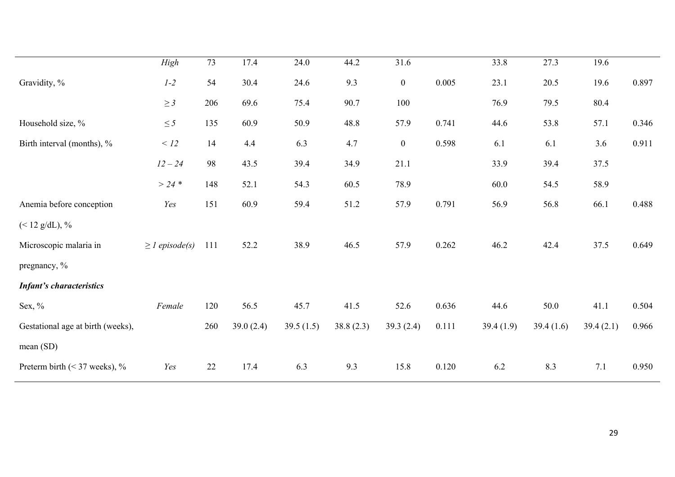|                                   | High                | 73  | 17.4         | 24.0      | 44.2      | 31.6             |       | 33.8      | 27.3      | 19.6      |       |
|-----------------------------------|---------------------|-----|--------------|-----------|-----------|------------------|-------|-----------|-----------|-----------|-------|
| Gravidity, %                      | $1-2$               | 54  | 30.4         | 24.6      | 9.3       | $0\,$            | 0.005 | 23.1      | 20.5      | 19.6      | 0.897 |
|                                   | $\geq$ 3            | 206 | 69.6         | 75.4      | 90.7      | 100              |       | 76.9      | 79.5      | 80.4      |       |
| Household size, %                 | $\leq$ 5            | 135 | 60.9         | 50.9      | 48.8      | 57.9             | 0.741 | 44.6      | 53.8      | 57.1      | 0.346 |
| Birth interval (months), %        | < 12                | 14  | 4.4          | 6.3       | 4.7       | $\boldsymbol{0}$ | 0.598 | 6.1       | 6.1       | 3.6       | 0.911 |
|                                   | $12 - 24$           | 98  | 43.5         | 39.4      | 34.9      | 21.1             |       | 33.9      | 39.4      | 37.5      |       |
|                                   | $> 24$ *            | 148 | 52.1         | 54.3      | 60.5      | 78.9             |       | 60.0      | 54.5      | 58.9      |       |
| Anemia before conception          | Yes                 | 151 | 60.9         | 59.4      | 51.2      | 57.9             | 0.791 | 56.9      | 56.8      | 66.1      | 0.488 |
| $(< 12 \text{ g/dL}), %$          |                     |     |              |           |           |                  |       |           |           |           |       |
| Microscopic malaria in            | $\geq$ l episode(s) | 111 | 52.2         | 38.9      | 46.5      | 57.9             | 0.262 | 46.2      | 42.4      | 37.5      | 0.649 |
| pregnancy, %                      |                     |     |              |           |           |                  |       |           |           |           |       |
| <b>Infant's characteristics</b>   |                     |     |              |           |           |                  |       |           |           |           |       |
| Sex, $\%$                         | Female              | 120 | 56.5         | 45.7      | 41.5      | 52.6             | 0.636 | 44.6      | 50.0      | 41.1      | 0.504 |
| Gestational age at birth (weeks), |                     | 260 | 39.0 $(2.4)$ | 39.5(1.5) | 38.8(2.3) | 39.3(2.4)        | 0.111 | 39.4(1.9) | 39.4(1.6) | 39.4(2.1) | 0.966 |
| mean(SD)                          |                     |     |              |           |           |                  |       |           |           |           |       |
| Preterm birth $(< 37$ weeks), %   | Yes                 | 22  | 17.4         | 6.3       | 9.3       | 15.8             | 0.120 | 6.2       | 8.3       | 7.1       | 0.950 |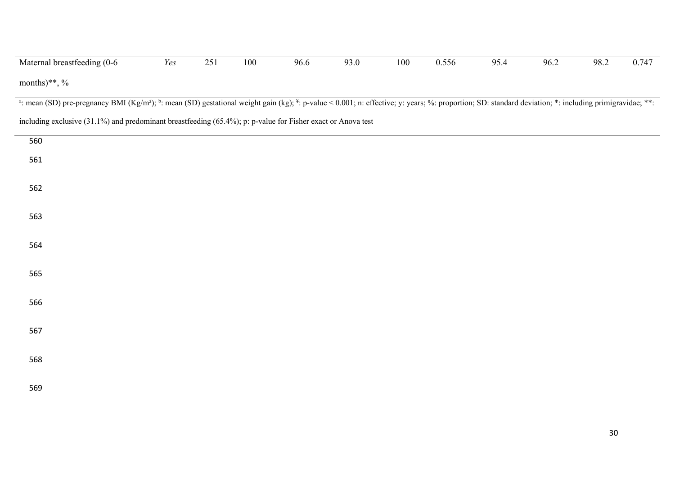| Maternal breastfeeding (0-6                                                                                                                                                                                        | Yes | 251 | 100 | 96.6 | 93.0 | 100 | 0.556 | 95.4 | 96.2 | 98.2 | 0.747 |
|--------------------------------------------------------------------------------------------------------------------------------------------------------------------------------------------------------------------|-----|-----|-----|------|------|-----|-------|------|------|------|-------|
| months)**, $\%$                                                                                                                                                                                                    |     |     |     |      |      |     |       |      |      |      |       |
| a: mean (SD) pre-pregnancy BMI (Kg/m <sup>2</sup> ); b: mean (SD) gestational weight gain (kg); *: p-value < 0.001; n: effective; y: years; %: proportion; SD: standard deviation; *: including primigravidae; **: |     |     |     |      |      |     |       |      |      |      |       |
| including exclusive (31.1%) and predominant breastfeeding (65.4%); p: p-value for Fisher exact or Anova test                                                                                                       |     |     |     |      |      |     |       |      |      |      |       |
| 560                                                                                                                                                                                                                |     |     |     |      |      |     |       |      |      |      |       |
| 561                                                                                                                                                                                                                |     |     |     |      |      |     |       |      |      |      |       |
| 562                                                                                                                                                                                                                |     |     |     |      |      |     |       |      |      |      |       |
| 563                                                                                                                                                                                                                |     |     |     |      |      |     |       |      |      |      |       |
| 564                                                                                                                                                                                                                |     |     |     |      |      |     |       |      |      |      |       |
| 565                                                                                                                                                                                                                |     |     |     |      |      |     |       |      |      |      |       |
| 566                                                                                                                                                                                                                |     |     |     |      |      |     |       |      |      |      |       |
| 567                                                                                                                                                                                                                |     |     |     |      |      |     |       |      |      |      |       |
| 568                                                                                                                                                                                                                |     |     |     |      |      |     |       |      |      |      |       |
| 569                                                                                                                                                                                                                |     |     |     |      |      |     |       |      |      |      |       |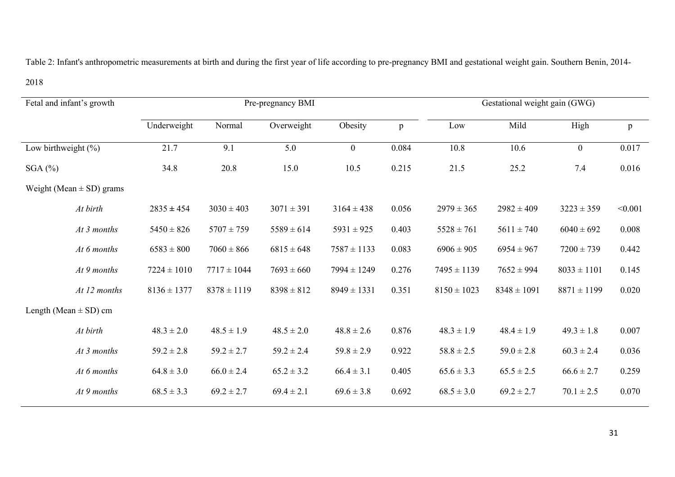Table 2: Infant's anthropometric measurements at birth and during the first year of life according to pre-pregnancy BMI and gestational weight gain. Southern Benin, 2014-

| Fetal and infant's growth    |                 |                 | Pre-pregnancy BMI | Gestational weight gain (GWG) |       |                 |                 |                  |              |
|------------------------------|-----------------|-----------------|-------------------|-------------------------------|-------|-----------------|-----------------|------------------|--------------|
|                              | Underweight     | Normal          | Overweight        | Obesity                       | p     | Low             | Mild            | High             | $\, {\bf p}$ |
| Low birthweight $(\% )$      | 21.7            | 9.1             | 5.0               | $\boldsymbol{0}$              | 0.084 | 10.8            | 10.6            | $\boldsymbol{0}$ | 0.017        |
| $SGA$ $%$                    | 34.8            | 20.8            | 15.0              | 10.5                          | 0.215 | 21.5            | 25.2            | 7.4              | 0.016        |
| Weight (Mean $\pm$ SD) grams |                 |                 |                   |                               |       |                 |                 |                  |              |
| At birth                     | $2835 \pm 454$  | $3030 \pm 403$  | $3071 \pm 391$    | $3164 \pm 438$                | 0.056 | $2979 \pm 365$  | $2982 \pm 409$  | $3223 \pm 359$   | < 0.001      |
| At 3 months                  | $5450 \pm 826$  | $5707 \pm 759$  | $5589 \pm 614$    | $5931 \pm 925$                | 0.403 | $5528 \pm 761$  | $5611 \pm 740$  | $6040 \pm 692$   | 0.008        |
| At 6 months                  | $6583 \pm 800$  | $7060 \pm 866$  | $6815 \pm 648$    | $7587 \pm 1133$               | 0.083 | $6906 \pm 905$  | $6954 \pm 967$  | $7200 \pm 739$   | 0.442        |
| At 9 months                  | $7224 \pm 1010$ | $7717 \pm 1044$ | $7693 \pm 660$    | $7994 \pm 1249$               | 0.276 | $7495 \pm 1139$ | $7652 \pm 994$  | $8033 \pm 1101$  | 0.145        |
| At 12 months                 | $8136 \pm 1377$ | $8378 \pm 1119$ | $8398 \pm 812$    | $8949 \pm 1331$               | 0.351 | $8150 \pm 1023$ | $8348 \pm 1091$ | $8871 \pm 1199$  | 0.020        |
| Length (Mean $\pm$ SD) cm    |                 |                 |                   |                               |       |                 |                 |                  |              |
| At birth                     | $48.3 \pm 2.0$  | $48.5 \pm 1.9$  | $48.5 \pm 2.0$    | $48.8 \pm 2.6$                | 0.876 | $48.3 \pm 1.9$  | $48.4 \pm 1.9$  | $49.3 \pm 1.8$   | 0.007        |
| At 3 months                  | $59.2 \pm 2.8$  | $59.2 \pm 2.7$  | $59.2 \pm 2.4$    | $59.8 \pm 2.9$                | 0.922 | $58.8 \pm 2.5$  | $59.0 \pm 2.8$  | $60.3 \pm 2.4$   | 0.036        |
| At 6 months                  | $64.8 \pm 3.0$  | $66.0 \pm 2.4$  | $65.2 \pm 3.2$    | $66.4 \pm 3.1$                | 0.405 | $65.6 \pm 3.3$  | $65.5 \pm 2.5$  | $66.6 \pm 2.7$   | 0.259        |
| $At 9$ months                | $68.5 \pm 3.3$  | $69.2 \pm 2.7$  | $69.4 \pm 2.1$    | $69.6 \pm 3.8$                | 0.692 | $68.5 \pm 3.0$  | $69.2 \pm 2.7$  | $70.1 \pm 2.5$   | 0.070        |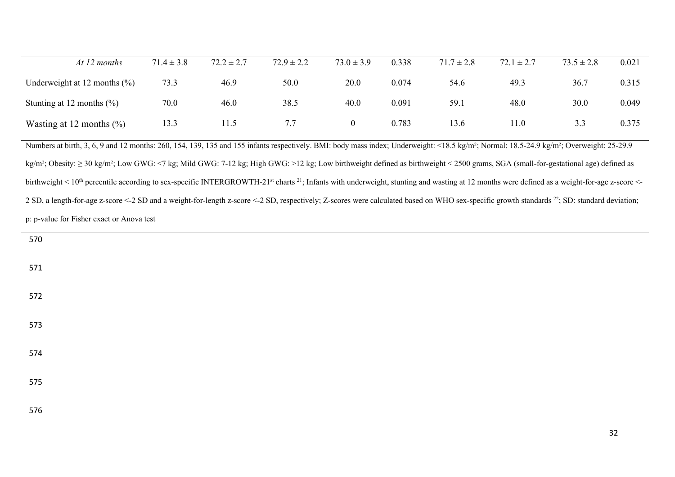| At 12 months                                                                                                                                                                                                                    | $71.4 \pm 3.8$ | $72.2 \pm 2.7$ | $72.9 \pm 2.2$ | $73.0 \pm 3.9$   | 0.338 | $71.7 \pm 2.8$ | $72.1 \pm 2.7$ | $73.5 \pm 2.8$ | 0.021 |
|---------------------------------------------------------------------------------------------------------------------------------------------------------------------------------------------------------------------------------|----------------|----------------|----------------|------------------|-------|----------------|----------------|----------------|-------|
| Underweight at 12 months $(\% )$                                                                                                                                                                                                | 73.3           | 46.9           | 50.0           | 20.0             | 0.074 | 54.6           | 49.3           | 36.7           | 0.315 |
| Stunting at 12 months $(\% )$                                                                                                                                                                                                   | 70.0           | 46.0           | 38.5           | 40.0             | 0.091 | 59.1           | 48.0           | 30.0           | 0.049 |
| Wasting at 12 months $(\% )$                                                                                                                                                                                                    | 13.3           | 11.5           | 7.7            | $\boldsymbol{0}$ | 0.783 | 13.6           | 11.0           | 3.3            | 0.375 |
| Numbers at birth, 3, 6, 9 and 12 months: 260, 154, 139, 135 and 155 infants respectively. BMI: body mass index; Underweight: <18.5 kg/m <sup>2</sup> ; Normal: 18.5-24.9 kg/m <sup>2</sup> ; Overweight: 25-29.9                |                |                |                |                  |       |                |                |                |       |
| $kg/m^2$ ; Obesity: $\geq$ 30 kg/m <sup>2</sup> ; Low GWG: <7 kg; Mild GWG: 7-12 kg; High GWG: >12 kg; Low birthweight defined as birthweight < 2500 grams, SGA (small-for-gestational age) defined as                          |                |                |                |                  |       |                |                |                |       |
| birthweight < 10 <sup>th</sup> percentile according to sex-specific INTERGROWTH-21 <sup>st</sup> charts <sup>21</sup> ; Infants with underweight, stunting and wasting at 12 months were defined as a weight-for-age z-score <- |                |                |                |                  |       |                |                |                |       |
| 2 SD, a length-for-age z-score <-2 SD and a weight-for-length z-score <-2 SD, respectively; Z-scores were calculated based on WHO sex-specific growth standards <sup>22</sup> ; SD: standard deviation;                         |                |                |                |                  |       |                |                |                |       |
| p: p-value for Fisher exact or Anova test                                                                                                                                                                                       |                |                |                |                  |       |                |                |                |       |

| 570 |  |  |  |
|-----|--|--|--|
| 571 |  |  |  |
| 572 |  |  |  |
| 573 |  |  |  |
| 574 |  |  |  |
| 575 |  |  |  |
| 576 |  |  |  |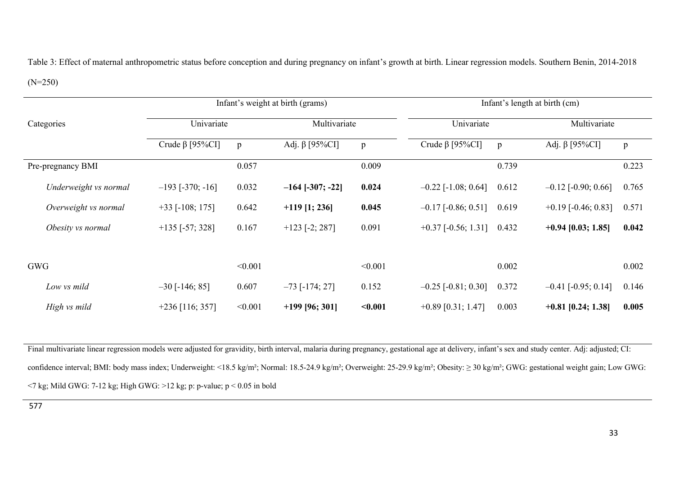Table 3: Effect of maternal anthropometric status before conception and during pregnancy on infant's growth at birth. Linear regression models. Southern Benin, 2014-2018

## (N=250)

|                       | Infant's weight at birth (grams) |              |                        |              | Infant's length at birth (cm) |              |                           |              |  |
|-----------------------|----------------------------------|--------------|------------------------|--------------|-------------------------------|--------------|---------------------------|--------------|--|
| Categories            | Univariate                       |              | Multivariate           |              | Univariate                    |              | Multivariate              |              |  |
|                       | Crude $\beta$ [95%CI]            | $\mathbf{p}$ | Adj. β [95% $CI$ ]     | $\, {\bf p}$ | Crude $\beta$ [95%CI]         | $\mathbf{p}$ | Adj. $\beta$ [95%CI]      | $\mathbf{p}$ |  |
| Pre-pregnancy BMI     |                                  | 0.057        |                        | 0.009        |                               | 0.739        |                           | 0.223        |  |
| Underweight vs normal | $-193$ [ $-370$ ; $-16$ ]        | 0.032        | $-164$ [ $-307; -22$ ] | 0.024        | $-0.22$ [-1.08; 0.64]         | 0.612        | $-0.12$ [ $-0.90; 0.66$ ] | 0.765        |  |
| Overweight vs normal  | $+33$ [-108; 175]                | 0.642        | $+119$ [1; 236]        | 0.045        | $-0.17$ [ $-0.86$ ; 0.51]     | 0.619        | $+0.19$ [-0.46; 0.83]     | 0.571        |  |
| Obesity vs normal     | $+135$ [-57; 328]                | 0.167        | $+123$ [-2; 287]       | 0.091        | $+0.37$ [-0.56; 1.31]         | 0.432        | $+0.94$ [0.03; 1.85]      | 0.042        |  |
|                       |                                  |              |                        |              |                               |              |                           |              |  |
| <b>GWG</b>            |                                  | < 0.001      |                        | < 0.001      |                               | 0.002        |                           | 0.002        |  |
| Low vs mild           | $-30$ [-146; 85]                 | 0.607        | $-73$ [ $-174$ ; 27]   | 0.152        | $-0.25$ [ $-0.81; 0.30$ ]     | 0.372        | $-0.41$ [ $-0.95$ ; 0.14] | 0.146        |  |
| High vs mild          | $+236$ [116; 357]                | < 0.001      | $+199$ [96; 301]       | < 0.001      | $+0.89$ [0.31; 1.47]          | 0.003        | $+0.81$ [0.24; 1.38]      | 0.005        |  |

Final multivariate linear regression models were adjusted for gravidity, birth interval, malaria during pregnancy, gestational age at delivery, infant's sex and study center. Adj: adjusted; CI: confidence interval; BMI: body mass index; Underweight: <18.5 kg/m²; Normal: 18.5-24.9 kg/m²; Overweight: 25-29.9 kg/m²; Obesity: ≥ 30 kg/m²; GWG: gestational weight gain; Low GWG:  $\le$ 7 kg; Mild GWG: 7-12 kg; High GWG: >12 kg; p: p-value; p  $\le$  0.05 in bold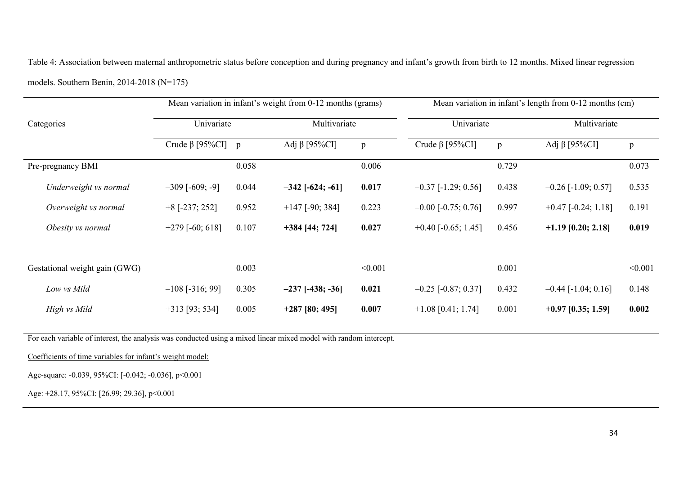Table 4: Association between maternal anthropometric status before conception and during pregnancy and infant's growth from birth to 12 months. Mixed linear regression models. Southern Benin, 2014-2018 (N=175)

|                               |                          |              | Mean variation in infant's weight from 0-12 months (grams) |         | Mean variation in infant's length from 0-12 months (cm) |              |                       |              |  |
|-------------------------------|--------------------------|--------------|------------------------------------------------------------|---------|---------------------------------------------------------|--------------|-----------------------|--------------|--|
| Categories                    | Univariate               |              | Multivariate                                               |         | Univariate                                              |              | Multivariate          |              |  |
|                               | Crude $\beta$ [95%CI]    | $\mathbf{p}$ | Adj $\beta$ [95%CI]                                        | p       | Crude $\beta$ [95%CI]                                   | $\mathbf{p}$ | Adj β [95%CI]         | $\mathbf{p}$ |  |
| Pre-pregnancy BMI             |                          | 0.058        |                                                            | 0.006   |                                                         | 0.729        |                       | 0.073        |  |
| Underweight vs normal         | $-309$ [ $-609$ ; $-9$ ] | 0.044        | $-342$ [ $-624$ ; $-61$ ]                                  | 0.017   | $-0.37$ [-1.29; 0.56]                                   | 0.438        | $-0.26$ [-1.09; 0.57] | 0.535        |  |
| Overweight vs normal          | $+8$ [-237; 252]         | 0.952        | $+147$ [-90; 384]                                          | 0.223   | $-0.00$ [ $-0.75$ ; 0.76]                               | 0.997        | $+0.47$ [-0.24; 1.18] | 0.191        |  |
| Obesity vs normal             | $+279$ [-60; 618]        | 0.107        | $+384$ [44; 724]                                           | 0.027   | $+0.40$ [-0.65; 1.45]                                   | 0.456        | $+1.19$ [0.20; 2.18]  | 0.019        |  |
|                               |                          |              |                                                            |         |                                                         |              |                       |              |  |
| Gestational weight gain (GWG) |                          | 0.003        |                                                            | < 0.001 |                                                         | 0.001        |                       | < 0.001      |  |
| Low vs Mild                   | $-108$ [-316; 99]        | 0.305        | $-237$ [-438; -36]                                         | 0.021   | $-0.25$ [ $-0.87; 0.37$ ]                               | 0.432        | $-0.44$ [-1.04; 0.16] | 0.148        |  |
| High vs Mild                  | $+313$ [93; 534]         | 0.005        | $+287$ [80; 495]                                           | 0.007   | $+1.08$ [0.41; 1.74]                                    | 0.001        | $+0.97$ [0.35; 1.59]  | 0.002        |  |

For each variable of interest, the analysis was conducted using a mixed linear mixed model with random intercept.

Coefficients of time variables for infant's weight model:

Age-square: -0.039, 95%CI: [-0.042; -0.036], p<0.001

Age: +28.17, 95%CI: [26.99; 29.36], p<0.001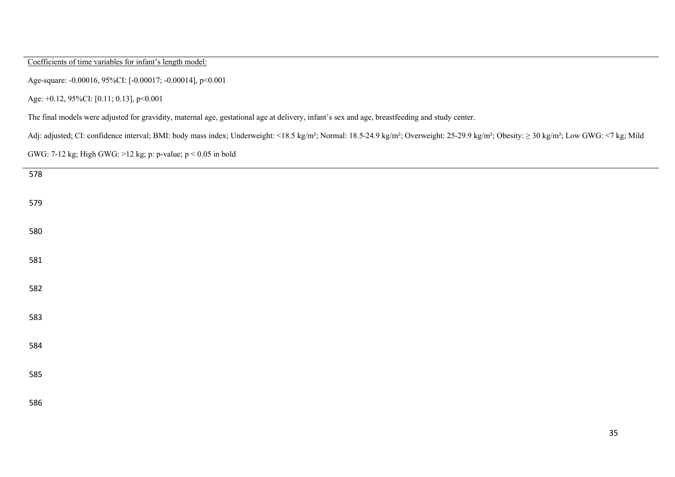Coefficients of time variables for infant's length model:

Age-square: -0.00016, 95%CI: [-0.00017; -0.00014], p<0.001

Age: +0.12, 95%CI: [0.11; 0.13], p<0.001

The final models were adjusted for gravidity, maternal age, gestational age at delivery, infant's sex and age, breastfeeding and study center.

Adj: adjusted; CI: confidence interval; BMI: body mass index; Underweight: <18.5 kg/m²; Normal: 18.5-24.9 kg/m²; Overweight: 25-29.9 kg/m²; Obesity: ≥ 30 kg/m²; Low GWG: <7 kg; Mild

GWG: 7-12 kg; High GWG: >12 kg; p: p-value; p < 0.05 in bold

| 578 |  |  |  |
|-----|--|--|--|
|     |  |  |  |
| 579 |  |  |  |
|     |  |  |  |
| 580 |  |  |  |
|     |  |  |  |
|     |  |  |  |
| 581 |  |  |  |
|     |  |  |  |
| 582 |  |  |  |
|     |  |  |  |
| 583 |  |  |  |
|     |  |  |  |
| 584 |  |  |  |
|     |  |  |  |
| 585 |  |  |  |
|     |  |  |  |
| 586 |  |  |  |
|     |  |  |  |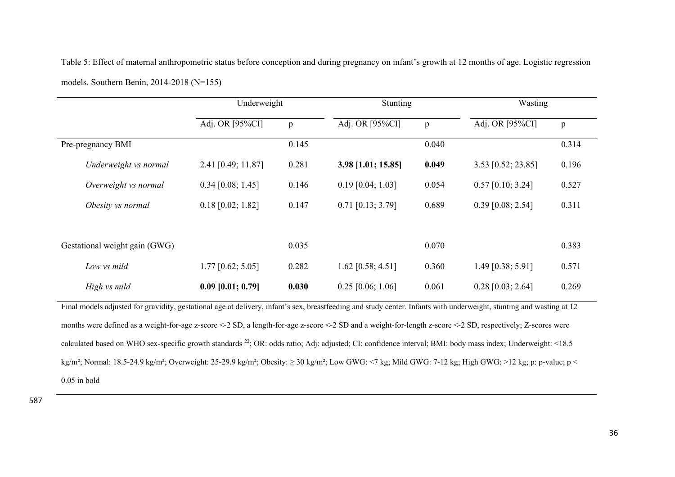Table 5: Effect of maternal anthropometric status before conception and during pregnancy on infant's growth at 12 months of age. Logistic regression models. Southern Benin, 2014-2018 (N=155)

|                                                                                                                                                                      | Underweight         |              | Stunting            |       | Wasting             |              |  |  |  |  |
|----------------------------------------------------------------------------------------------------------------------------------------------------------------------|---------------------|--------------|---------------------|-------|---------------------|--------------|--|--|--|--|
|                                                                                                                                                                      | Adj. OR [95%CI]     | $\mathbf{p}$ | Adj. OR [95%CI]     | p     | Adj. OR [95%CI]     | $\, {\bf p}$ |  |  |  |  |
| Pre-pregnancy BMI                                                                                                                                                    |                     | 0.145        |                     | 0.040 |                     | 0.314        |  |  |  |  |
| Underweight vs normal                                                                                                                                                | 2.41 [0.49; 11.87]  | 0.281        | 3.98 [1.01; 15.85]  | 0.049 | 3.53 [0.52; 23.85]  | 0.196        |  |  |  |  |
| Overweight vs normal                                                                                                                                                 | $0.34$ [0.08; 1.45] | 0.146        | $0.19$ [0.04; 1.03] | 0.054 | $0.57$ [0.10; 3.24] | 0.527        |  |  |  |  |
| Obesity vs normal                                                                                                                                                    | $0.18$ [0.02; 1.82] | 0.147        | $0.71$ [0.13; 3.79] | 0.689 | $0.39$ [0.08; 2.54] | 0.311        |  |  |  |  |
|                                                                                                                                                                      |                     |              |                     |       |                     |              |  |  |  |  |
| Gestational weight gain (GWG)                                                                                                                                        |                     | 0.035        |                     | 0.070 |                     | 0.383        |  |  |  |  |
| Low vs mild                                                                                                                                                          | $1.77$ [0.62; 5.05] | 0.282        | $1.62$ [0.58; 4.51] | 0.360 | 1.49 [0.38; 5.91]   | 0.571        |  |  |  |  |
| High vs mild                                                                                                                                                         | $0.09$ [0.01; 0.79] | 0.030        | $0.25$ [0.06; 1.06] | 0.061 | $0.28$ [0.03; 2.64] | 0.269        |  |  |  |  |
| Final models adjusted for gravidity, gestational age at delivery, infant's sex, breastfeeding and study center. Infants with underweight, stunting and wasting at 12 |                     |              |                     |       |                     |              |  |  |  |  |

months were defined as a weight-for-age z-score <-2 SD, a length-for-age z-score <-2 SD and a weight-for-length z-score <-2 SD, respectively; Z-scores were calculated based on WHO sex-specific growth standards <sup>22</sup>; OR: odds ratio; Adj: adjusted; CI: confidence interval; BMI: body mass index; Underweight: <18.5 kg/m²; Normal: 18.5-24.9 kg/m²; Overweight: 25-29.9 kg/m²; Obesity: ≥ 30 kg/m²; Low GWG: <7 kg; Mild GWG: 7-12 kg; High GWG: >12 kg; p: p-value; p < 0.05 in bold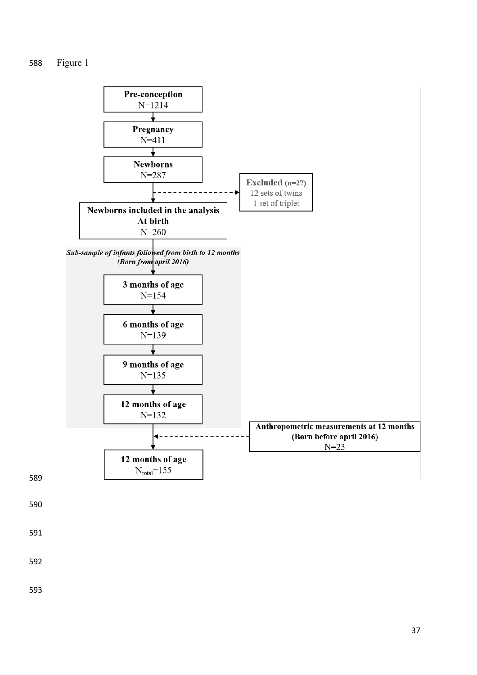